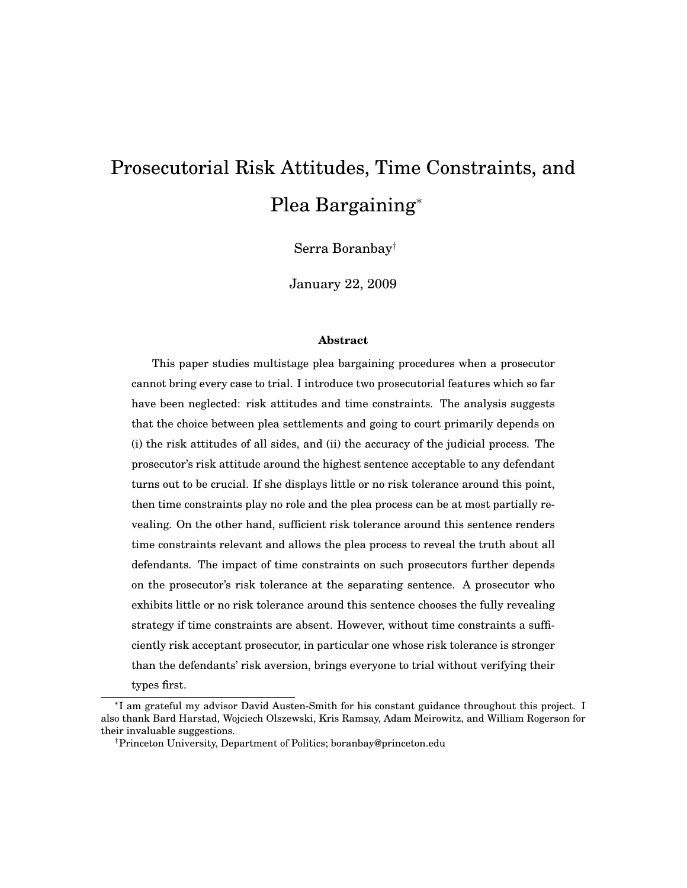# Prosecutorial Risk Attitudes, Time Constraints, and Plea Bargaining

Serra Boranbay<sup>†</sup>

January 22, 2009

#### **Abstract**

This paper studies multistage plea bargaining procedures when a prosecutor cannot bring every case to trial. I introduce two prosecutorial features which so far have been neglected: risk attitudes and time constraints. The analysis suggests that the choice between plea settlements and going to court primarily depends on (i) the risk attitudes of all sides, and (ii) the accuracy of the judicial process. The prosecutor's risk attitude around the highest sentence acceptable to any defendant turns out to be crucial. If she displays little or no risk tolerance around this point, then time constraints play no role and the plea process can be at most partially revealing. On the other hand, sufficient risk tolerance around this sentence renders time constraints relevant and allows the plea process to reveal the truth about all defendants. The impact of time constraints on such prosecutors further depends on the prosecutor's risk tolerance at the separating sentence. A prosecutor who exhibits little or no risk tolerance around this sentence chooses the fully revealing strategy if time constraints are absent. However, without time constraints a sufficiently risk acceptant prosecutor, in particular one whose risk tolerance is stronger than the defendants' risk aversion, brings everyone to trial without verifying their types first.

<sup>&</sup>lt;sup>\*</sup>I am grateful my advisor David Austen-Smith for his constant guidance throughout this project. I also thank Bard Harstad, Wojciech Olszewski, Kris Ramsay, Adam Meirowitz, and William Rogerson for their invaluable suggestions.

<sup>&</sup>lt;sup>†</sup>Princeton University, Department of Politics; boranbay@princeton.edu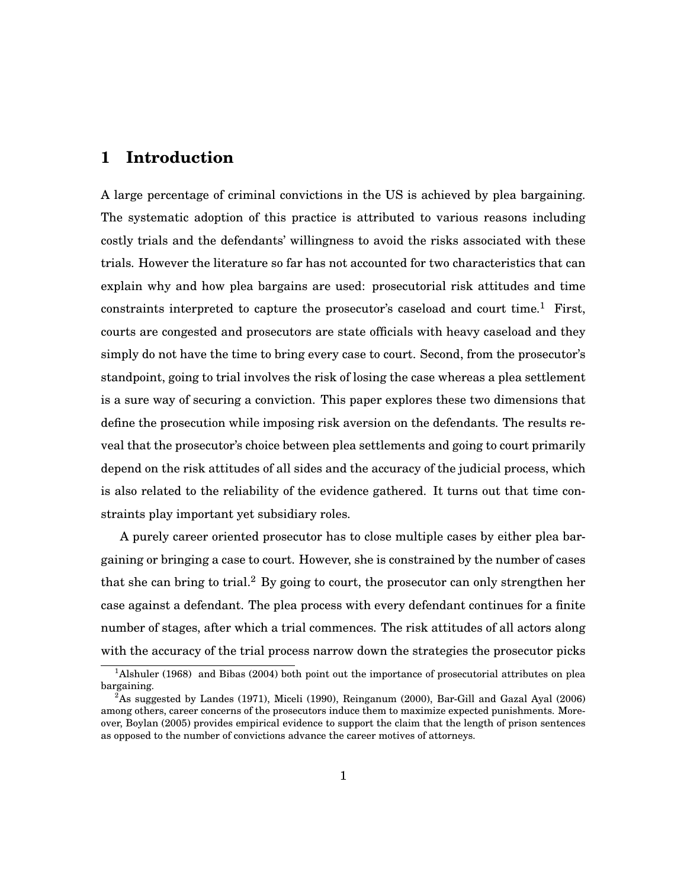#### **1 Introduction**

A large percentage of criminal convictions in the US is achieved by plea bargaining. The systematic adoption of this practice is attributed to various reasons including costly trials and the defendants' willingness to avoid the risks associated with these trials. However the literature so far has not accounted for two characteristics that can explain why and how plea bargains are used: prosecutorial risk attitudes and time constraints interpreted to capture the prosecutor's caseload and court time.<sup>1</sup> First, courts are congested and prosecutors are state officials with heavy caseload and they simply do not have the time to bring every case to court. Second, from the prosecutor's standpoint, going to trial involves the risk of losing the case whereas a plea settlement is a sure way of securing a conviction. This paper explores these two dimensions that define the prosecution while imposing risk aversion on the defendants. The results reveal that the prosecutor's choice between plea settlements and going to court primarily depend on the risk attitudes of all sides and the accuracy of the judicial process, which is also related to the reliability of the evidence gathered. It turns out that time constraints play important yet subsidiary roles.

A purely career oriented prosecutor has to close multiple cases by either plea bargaining or bringing a case to court. However, she is constrained by the number of cases that she can bring to trial.<sup>2</sup> By going to court, the prosecutor can only strengthen her case against a defendant. The plea process with every defendant continues for a finite number of stages, after which a trial commences. The risk attitudes of all actors along with the accuracy of the trial process narrow down the strategies the prosecutor picks

<sup>&</sup>lt;sup>1</sup>Alshuler (1968) and Bibas (2004) both point out the importance of prosecutorial attributes on plea bargaining.

 ${}^{2}$ As suggested by Landes (1971), Miceli (1990), Reinganum (2000), Bar-Gill and Gazal Ayal (2006) among others, career concerns of the prosecutors induce them to maximize expected punishments. Moreover, Boylan (2005) provides empirical evidence to support the claim that the length of prison sentences as opposed to the number of convictions advance the career motives of attorneys.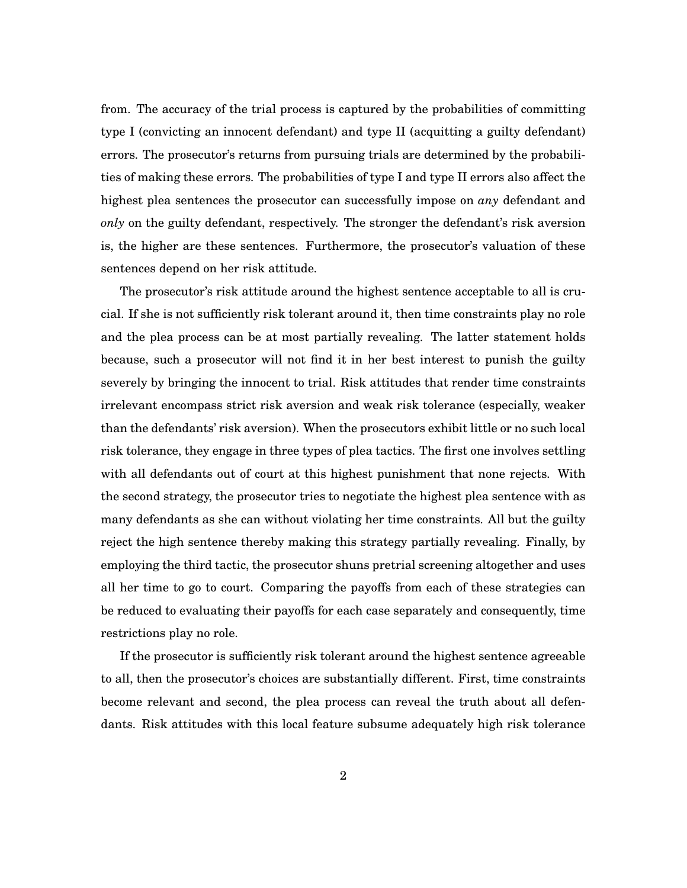from. The accuracy of the trial process is captured by the probabilities of committing type I (convicting an innocent defendant) and type II (acquitting a guilty defendant) errors. The prosecutor's returns from pursuing trials are determined by the probabilities of making these errors. The probabilities of type I and type II errors also affect the highest plea sentences the prosecutor can successfully impose on *any* defendant and *only* on the guilty defendant, respectively. The stronger the defendant's risk aversion is, the higher are these sentences. Furthermore, the prosecutor's valuation of these sentences depend on her risk attitude.

The prosecutor's risk attitude around the highest sentence acceptable to all is crucial. If she is not sufficiently risk tolerant around it, then time constraints play no role and the plea process can be at most partially revealing. The latter statement holds because, such a prosecutor will not find it in her best interest to punish the guilty severely by bringing the innocent to trial. Risk attitudes that render time constraints irrelevant encompass strict risk aversion and weak risk tolerance (especially, weaker than the defendants' risk aversion). When the prosecutors exhibit little or no such local risk tolerance, they engage in three types of plea tactics. The first one involves settling with all defendants out of court at this highest punishment that none rejects. With the second strategy, the prosecutor tries to negotiate the highest plea sentence with as many defendants as she can without violating her time constraints. All but the guilty reject the high sentence thereby making this strategy partially revealing. Finally, by employing the third tactic, the prosecutor shuns pretrial screening altogether and uses all her time to go to court. Comparing the payoffs from each of these strategies can be reduced to evaluating their payoffs for each case separately and consequently, time restrictions play no role.

If the prosecutor is sufficiently risk tolerant around the highest sentence agreeable to all, then the prosecutor's choices are substantially different. First, time constraints become relevant and second, the plea process can reveal the truth about all defendants. Risk attitudes with this local feature subsume adequately high risk tolerance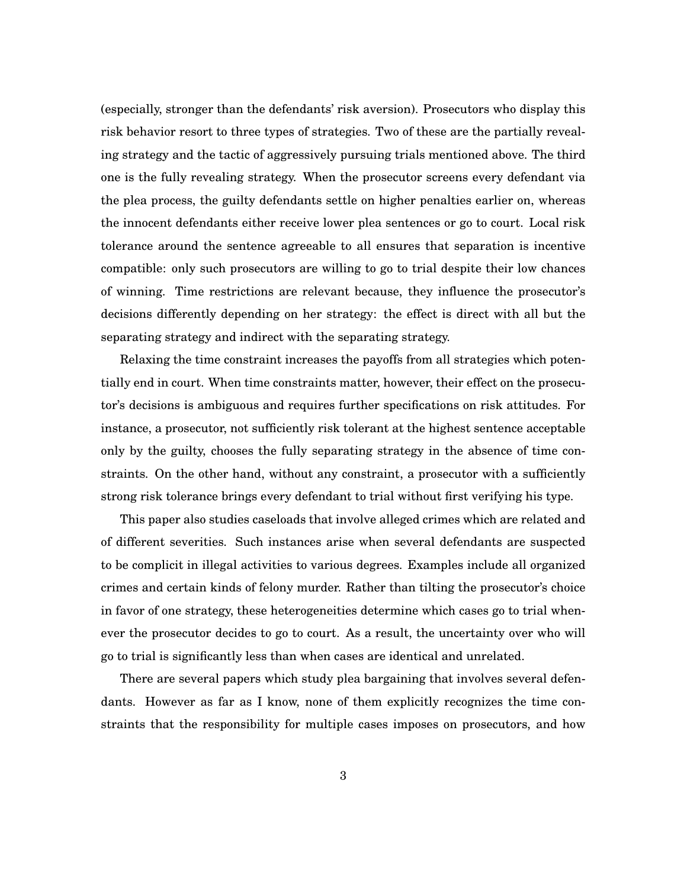(especially, stronger than the defendants' risk aversion). Prosecutors who display this risk behavior resort to three types of strategies. Two of these are the partially revealing strategy and the tactic of aggressively pursuing trials mentioned above. The third one is the fully revealing strategy. When the prosecutor screens every defendant via the plea process, the guilty defendants settle on higher penalties earlier on, whereas the innocent defendants either receive lower plea sentences or go to court. Local risk tolerance around the sentence agreeable to all ensures that separation is incentive compatible: only such prosecutors are willing to go to trial despite their low chances of winning. Time restrictions are relevant because, they influence the prosecutor's decisions differently depending on her strategy: the effect is direct with all but the separating strategy and indirect with the separating strategy.

Relaxing the time constraint increases the payoffs from all strategies which potentially end in court. When time constraints matter, however, their effect on the prosecutor's decisions is ambiguous and requires further specifications on risk attitudes. For instance, a prosecutor, not sufficiently risk tolerant at the highest sentence acceptable only by the guilty, chooses the fully separating strategy in the absence of time constraints. On the other hand, without any constraint, a prosecutor with a sufficiently strong risk tolerance brings every defendant to trial without first verifying his type.

This paper also studies caseloads that involve alleged crimes which are related and of different severities. Such instances arise when several defendants are suspected to be complicit in illegal activities to various degrees. Examples include all organized crimes and certain kinds of felony murder. Rather than tilting the prosecutor's choice in favor of one strategy, these heterogeneities determine which cases go to trial whenever the prosecutor decides to go to court. As a result, the uncertainty over who will go to trial is significantly less than when cases are identical and unrelated.

There are several papers which study plea bargaining that involves several defendants. However as far as I know, none of them explicitly recognizes the time constraints that the responsibility for multiple cases imposes on prosecutors, and how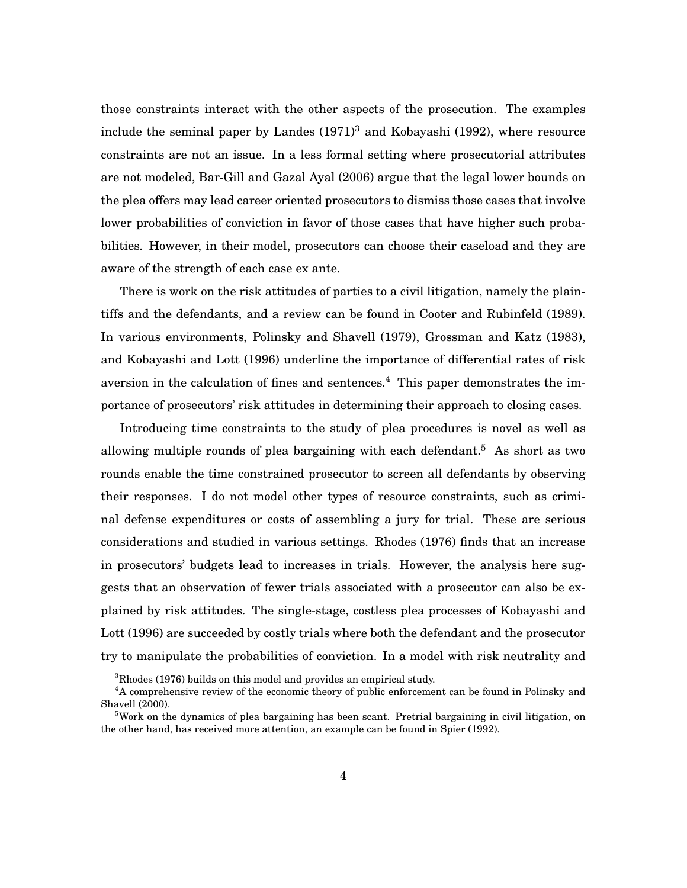those constraints interact with the other aspects of the prosecution. The examples include the seminal paper by Landes  $(1971)^3$  and Kobayashi (1992), where resource constraints are not an issue. In a less formal setting where prosecutorial attributes are not modeled, Bar-Gill and Gazal Ayal (2006) argue that the legal lower bounds on the plea offers may lead career oriented prosecutors to dismiss those cases that involve lower probabilities of conviction in favor of those cases that have higher such probabilities. However, in their model, prosecutors can choose their caseload and they are aware of the strength of each case ex ante.

There is work on the risk attitudes of parties to a civil litigation, namely the plaintiffs and the defendants, and a review can be found in Cooter and Rubinfeld (1989). In various environments, Polinsky and Shavell (1979), Grossman and Katz (1983), and Kobayashi and Lott (1996) underline the importance of differential rates of risk aversion in the calculation of fines and sentences.<sup>4</sup> This paper demonstrates the importance of prosecutors' risk attitudes in determining their approach to closing cases.

Introducing time constraints to the study of plea procedures is novel as well as allowing multiple rounds of plea bargaining with each defendant.<sup>5</sup> As short as two rounds enable the time constrained prosecutor to screen all defendants by observing their responses. I do not model other types of resource constraints, such as criminal defense expenditures or costs of assembling a jury for trial. These are serious considerations and studied in various settings. Rhodes (1976) finds that an increase in prosecutors' budgets lead to increases in trials. However, the analysis here suggests that an observation of fewer trials associated with a prosecutor can also be explained by risk attitudes. The single-stage, costless plea processes of Kobayashi and Lott (1996) are succeeded by costly trials where both the defendant and the prosecutor try to manipulate the probabilities of conviction. In a model with risk neutrality and

 ${}^{3}$ Rhodes (1976) builds on this model and provides an empirical study.

<sup>4</sup>A comprehensive review of the economic theory of public enforcement can be found in Polinsky and Shavell (2000).

 $5$ Work on the dynamics of plea bargaining has been scant. Pretrial bargaining in civil litigation, on the other hand, has received more attention, an example can be found in Spier (1992).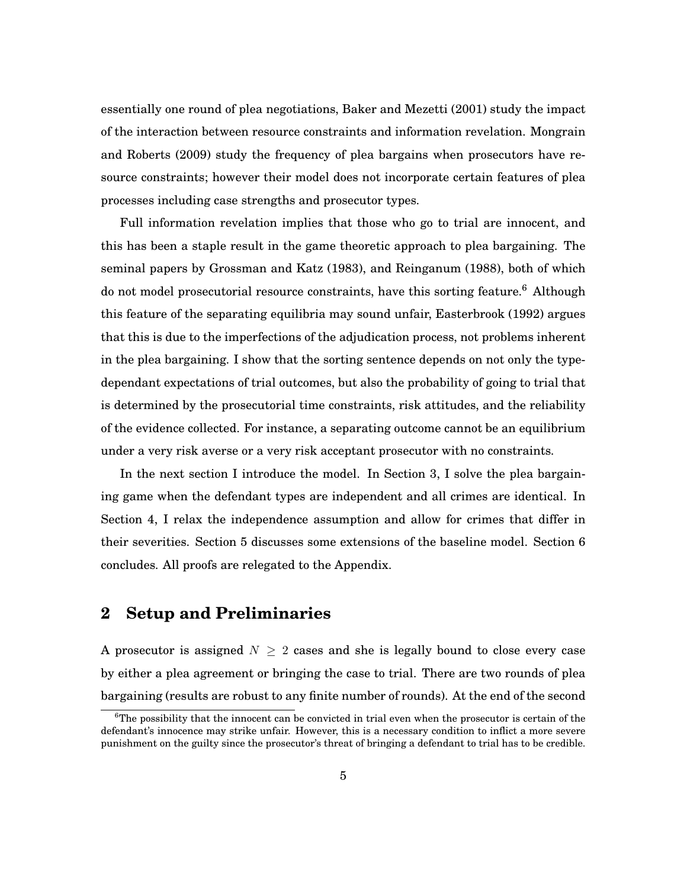essentially one round of plea negotiations, Baker and Mezetti (2001) study the impact of the interaction between resource constraints and information revelation. Mongrain and Roberts (2009) study the frequency of plea bargains when prosecutors have resource constraints; however their model does not incorporate certain features of plea processes including case strengths and prosecutor types.

Full information revelation implies that those who go to trial are innocent, and this has been a staple result in the game theoretic approach to plea bargaining. The seminal papers by Grossman and Katz (1983), and Reinganum (1988), both of which do not model prosecutorial resource constraints, have this sorting feature.<sup>6</sup> Although this feature of the separating equilibria may sound unfair, Easterbrook (1992) argues that this is due to the imperfections of the adjudication process, not problems inherent in the plea bargaining. I show that the sorting sentence depends on not only the typedependant expectations of trial outcomes, but also the probability of going to trial that is determined by the prosecutorial time constraints, risk attitudes, and the reliability of the evidence collected. For instance, a separating outcome cannot be an equilibrium under a very risk averse or a very risk acceptant prosecutor with no constraints.

In the next section I introduce the model. In Section 3, I solve the plea bargaining game when the defendant types are independent and all crimes are identical. In Section 4, I relax the independence assumption and allow for crimes that differ in their severities. Section 5 discusses some extensions of the baseline model. Section 6 concludes. All proofs are relegated to the Appendix.

## **2 Setup and Preliminaries**

A prosecutor is assigned  $N \geq 2$  cases and she is legally bound to close every case by either a plea agreement or bringing the case to trial. There are two rounds of plea bargaining (results are robust to any finite number of rounds). At the end of the second

 ${}^{6}$ The possibility that the innocent can be convicted in trial even when the prosecutor is certain of the defendant's innocence may strike unfair. However, this is a necessary condition to inflict a more severe punishment on the guilty since the prosecutor's threat of bringing a defendant to trial has to be credible.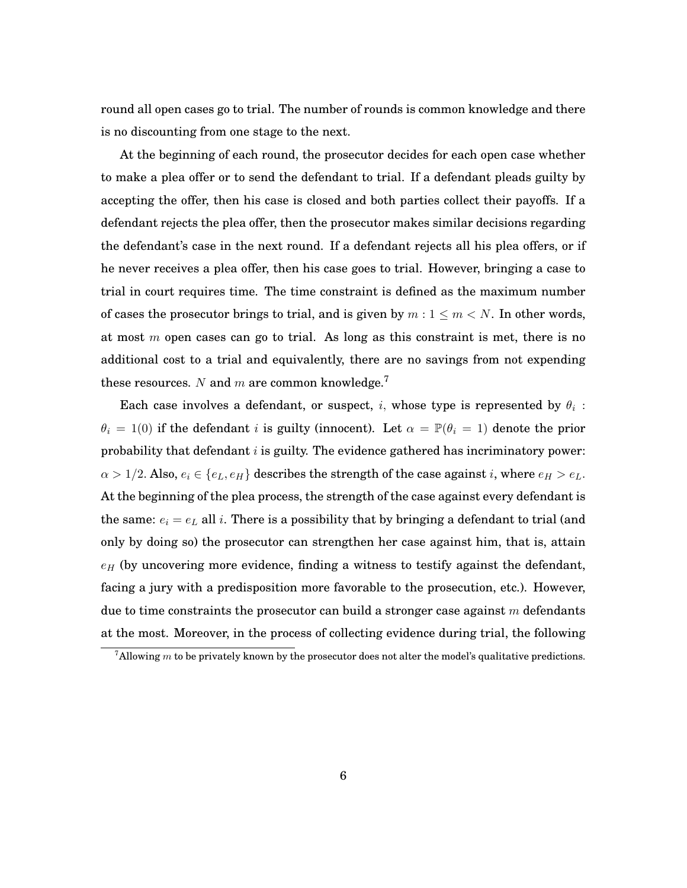round all open cases go to trial. The number of rounds is common knowledge and there is no discounting from one stage to the next.

At the beginning of each round, the prosecutor decides for each open case whether to make a plea offer or to send the defendant to trial. If a defendant pleads guilty by accepting the offer, then his case is closed and both parties collect their payoffs. If a defendant rejects the plea offer, then the prosecutor makes similar decisions regarding the defendant's case in the next round. If a defendant rejects all his plea offers, or if he never receives a plea offer, then his case goes to trial. However, bringing a case to trial in court requires time. The time constraint is defined as the maximum number of cases the prosecutor brings to trial, and is given by  $m: 1 \le m < N$ . In other words, at most  $m$  open cases can go to trial. As long as this constraint is met, there is no additional cost to a trial and equivalently, there are no savings from not expending these resources. N and m are common knowledge.<sup>7</sup>

Each case involves a defendant, or suspect,  $i$ , whose type is represented by  $\theta_i$  :  $\theta_i = 1(0)$  if the defendant i is guilty (innocent). Let  $\alpha = \mathbb{P}(\theta_i = 1)$  denote the prior probability that defendant  $i$  is guilty. The evidence gathered has incriminatory power:  $\alpha > 1/2$ . Also,  $e_i \in \{e_L, e_H\}$  describes the strength of the case against i, where  $e_H > e_L$ . At the beginning of the plea process, the strength of the case against every defendant is the same:  $e_i = e_L$  all i. There is a possibility that by bringing a defendant to trial (and only by doing so) the prosecutor can strengthen her case against him, that is, attain  $e_H$  (by uncovering more evidence, finding a witness to testify against the defendant, facing a jury with a predisposition more favorable to the prosecution, etc.). However, due to time constraints the prosecutor can build a stronger case against  $m$  defendants at the most. Moreover, in the process of collecting evidence during trial, the following

<sup>&</sup>lt;sup>7</sup>Allowing m to be privately known by the prosecutor does not alter the model's qualitative predictions.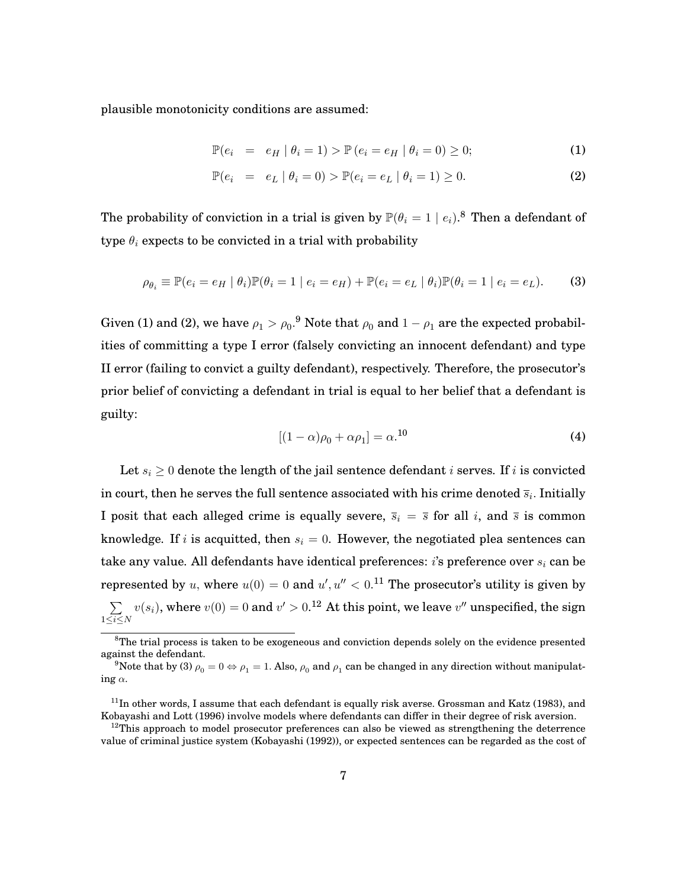plausible monotonicity conditions are assumed:

$$
\mathbb{P}(e_i = e_H | \theta_i = 1) > \mathbb{P}(e_i = e_H | \theta_i = 0) \ge 0; \tag{1}
$$

$$
\mathbb{P}(e_i = e_L | \theta_i = 0) > \mathbb{P}(e_i = e_L | \theta_i = 1) \ge 0. \tag{2}
$$

The probability of conviction in a trial is given by  $\mathbb{P}(\theta_i = 1 \mid e_i)$ .<sup>8</sup> Then a defendant of type  $\theta_i$  expects to be convicted in a trial with probability

$$
\rho_{\theta_i} \equiv \mathbb{P}(e_i = e_H \mid \theta_i) \mathbb{P}(\theta_i = 1 \mid e_i = e_H) + \mathbb{P}(e_i = e_L \mid \theta_i) \mathbb{P}(\theta_i = 1 \mid e_i = e_L). \tag{3}
$$

Given (1) and (2), we have  $\rho_1 > \rho_0$ .<sup>9</sup> Note that  $\rho_0$  and  $1 - \rho_1$  are the expected probabilities of committing a type I error (falsely convicting an innocent defendant) and type II error (failing to convict a guilty defendant), respectively. Therefore, the prosecutor's prior belief of convicting a defendant in trial is equal to her belief that a defendant is guilty:

$$
[(1 - \alpha)\rho_0 + \alpha \rho_1] = \alpha^{10}
$$
 (4)

Let  $s_i \geq 0$  denote the length of the jail sentence defendant i serves. If i is convicted in court, then he serves the full sentence associated with his crime denoted  $\overline{s}_i$ . Initially I posit that each alleged crime is equally severe,  $\overline{s}_i = \overline{s}$  for all i, and  $\overline{s}$  is common knowledge. If i is acquitted, then  $s_i = 0$ . However, the negotiated plea sentences can take any value. All defendants have identical preferences: *i*'s preference over  $s_i$  can be represented by u, where  $u(0) = 0$  and  $u', u'' < 0.$ <sup>11</sup> The prosecutor's utility is given by  $\sum$  $1\leq i\leq N$  $v(s_i),$  where  $v(0)=0$  and  $v'>0.^{\bf 12}$  At this point, we leave  $v''$  unspecified, the sign

<sup>&</sup>lt;sup>8</sup>The trial process is taken to be exogeneous and conviction depends solely on the evidence presented against the defendant.

<sup>&</sup>lt;sup>9</sup>Note that by (3)  $\rho_0 = 0 \Leftrightarrow \rho_1 = 1$ . Also,  $\rho_0$  and  $\rho_1$  can be changed in any direction without manipulating  $\alpha$ .

 $11$ In other words, I assume that each defendant is equally risk averse. Grossman and Katz (1983), and Kobayashi and Lott (1996) involve models where defendants can differ in their degree of risk aversion.

 $12$ This approach to model prosecutor preferences can also be viewed as strengthening the deterrence value of criminal justice system (Kobayashi (1992)), or expected sentences can be regarded as the cost of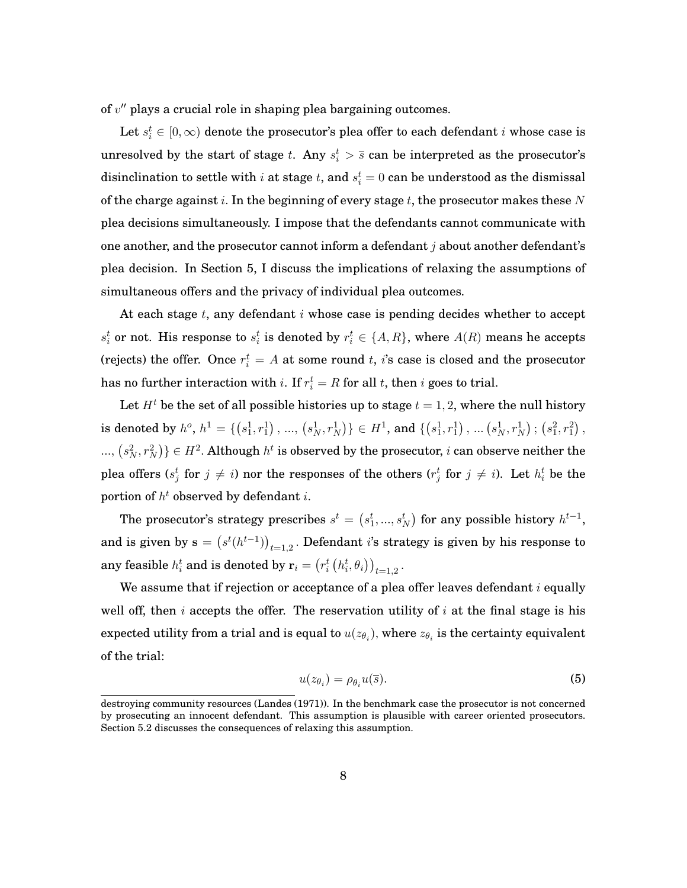of  $v^{\prime\prime}$  plays a crucial role in shaping plea bargaining outcomes.

Let  $s_i^t \in [0,\infty)$  denote the prosecutor's plea offer to each defendant  $i$  whose case is unresolved by the start of stage t. Any  $s_i^t > \overline{s}$  can be interpreted as the prosecutor's disinclination to settle with  $i$  at stage  $t,$  and  $s_i^t = 0$  can be understood as the dismissal of the charge against i. In the beginning of every stage t, the prosecutor makes these N plea decisions simultaneously. I impose that the defendants cannot communicate with one another, and the prosecutor cannot inform a defendant  $j$  about another defendant's plea decision. In Section 5, I discuss the implications of relaxing the assumptions of simultaneous offers and the privacy of individual plea outcomes.

At each stage  $t$ , any defendant  $i$  whose case is pending decides whether to accept  $s_i^t$  or not. His response to  $s_i^t$  is denoted by  $r_i^t \in \{A, R\}$ , where  $A(R)$  means he accepts (rejects) the offer. Once  $r_i^t = A$  at some round  $t$ , *i*'s case is closed and the prosecutor has no further interaction with i. If  $r_i^t = R$  for all t, then i goes to trial.

Let  $H<sup>t</sup>$  be the set of all possible histories up to stage  $t = 1, 2$ , where the null history is denoted by  $h^o$ ,  $h^1 = \{(s_1^1, r_1^1), ..., (s_N^1, r_N^1)\} \in H^1$ , and  $\{(s_1^1, r_1^1), ..., (s_N^1, r_N^1)\}$   $(s_1^2, r_1^2)$ ,  $\{ (s_N^2, r_N^2) \} \in H^2$ . Although  $h^t$  is observed by the prosecutor, i can observe neither the plea offers ( $s_j^t$  for  $j \neq i$ ) nor the responses of the others ( $r_j^t$  for  $j \neq i$ ). Let  $h_i^t$  be the portion of  $h^t$  observed by defendant i.

The prosecutor's strategy prescribes  $s^t = \left(s^t_1, ..., s^t_N\right)$  for any possible history  $h^{t-1}$ , and is given by  $\mathbf{s} = \big(s^t (h^{t-1})\big)_{t=1,2}$  . Defendant  $i$ 's strategy is given by his response to any feasible  $h_i^t$  and is denoted by  $\mathbf{r}_i = \left(r_i^t\left(h_i^t, \theta_i\right)\right)_{t=1,2}$ .

We assume that if rejection or acceptance of a plea offer leaves defendant  $i$  equally well off, then i accepts the offer. The reservation utility of i at the final stage is his expected utility from a trial and is equal to  $u(z_{\theta_i}),$  where  $z_{\theta_i}$  is the certainty equivalent of the trial:

$$
u(z_{\theta_i}) = \rho_{\theta_i} u(\overline{s}). \tag{5}
$$

destroying community resources (Landes (1971)). In the benchmark case the prosecutor is not concerned by prosecuting an innocent defendant. This assumption is plausible with career oriented prosecutors. Section 5.2 discusses the consequences of relaxing this assumption.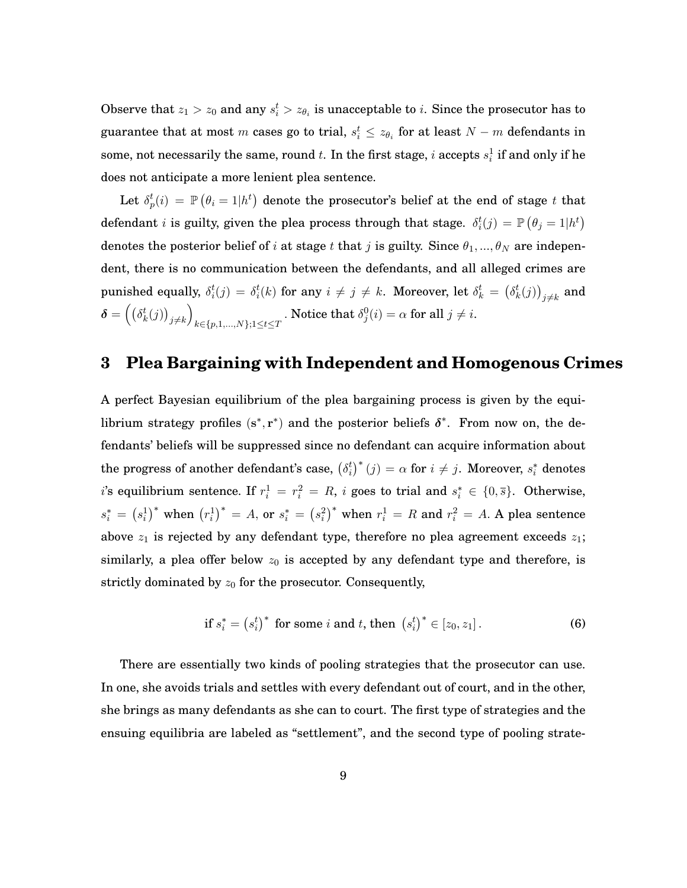Observe that  $z_1 > z_0$  and any  $s_i^t > z_{\theta_i}$  is unacceptable to *i*. Since the prosecutor has to guarantee that at most  $m$  cases go to trial,  $s_i^t \leq z_{\theta_i}$  for at least  $N-m$  defendants in some, not necessarily the same, round  $t.$  In the first stage,  $i$  accepts  $s^1_i$  if and only if he does not anticipate a more lenient plea sentence.

Let  $\delta_p^t(i) \ = \ \mathbb{P}\left(\theta_i = 1 | h^t\right)$  denote the prosecutor's belief at the end of stage  $t$  that defendant  $i$  is guilty, given the plea process through that stage.  $\delta_i^t(j) = \mathbb{P}\left(\theta_j = 1 | h^t\right)$ denotes the posterior belief of i at stage t that j is guilty. Since  $\theta_1, ..., \theta_N$  are independent, there is no communication between the defendants, and all alleged crimes are punished equally,  $\delta_i^t(j) = \delta_i^t(k)$  for any  $i \neq j \neq k$ . Moreover, let  $\delta_k^t = (\delta_k^t(j))$  $_{j\neq k}$  and  $\boldsymbol{\delta} = \left(\left(\delta_k^t(j)\right)\right)$  $j\neq k$  $\overline{ }$  $k \in \{p,1,...,N\}; 1 \le t \le T$ . Notice that  $\delta_j^0(i) = \alpha$  for all  $j \neq i$ .

### **3 Plea Bargaining with Independent and Homogenous Crimes**

A perfect Bayesian equilibrium of the plea bargaining process is given by the equilibrium strategy profiles  $(s^*, r^*)$  and the posterior beliefs  $\delta^*$ . From now on, the defendants' beliefs will be suppressed since no defendant can acquire information about the progress of another defendant's case,  $\left(\delta_i^t\right)^*(j) = \alpha$  for  $i \neq j$ . Moreover,  $s_i^*$  denotes i's equilibrium sentence. If  $r_i^1 = r_i^2 = R$ , i goes to trial and  $s_i^* \in \{0, \overline{s}\}$ . Otherwise,  $s_i^*=\left(s_i^1\right)^*$  when  $\left(r_i^1\right)^*=A,$  or  $s_i^*=\left(s_i^2\right)^*$  when  $r_i^1=R$  and  $r_i^2=A.$  A plea sentence above  $z_1$  is rejected by any defendant type, therefore no plea agreement exceeds  $z_1$ ; similarly, a plea offer below  $z_0$  is accepted by any defendant type and therefore, is strictly dominated by  $z_0$  for the prosecutor. Consequently,

$$
\text{if } s_i^* = \left(s_i^t\right)^* \text{ for some } i \text{ and } t \text{, then } \left(s_i^t\right)^* \in \left[z_0, z_1\right]. \tag{6}
$$

There are essentially two kinds of pooling strategies that the prosecutor can use. In one, she avoids trials and settles with every defendant out of court, and in the other, she brings as many defendants as she can to court. The first type of strategies and the ensuing equilibria are labeled as "settlement", and the second type of pooling strate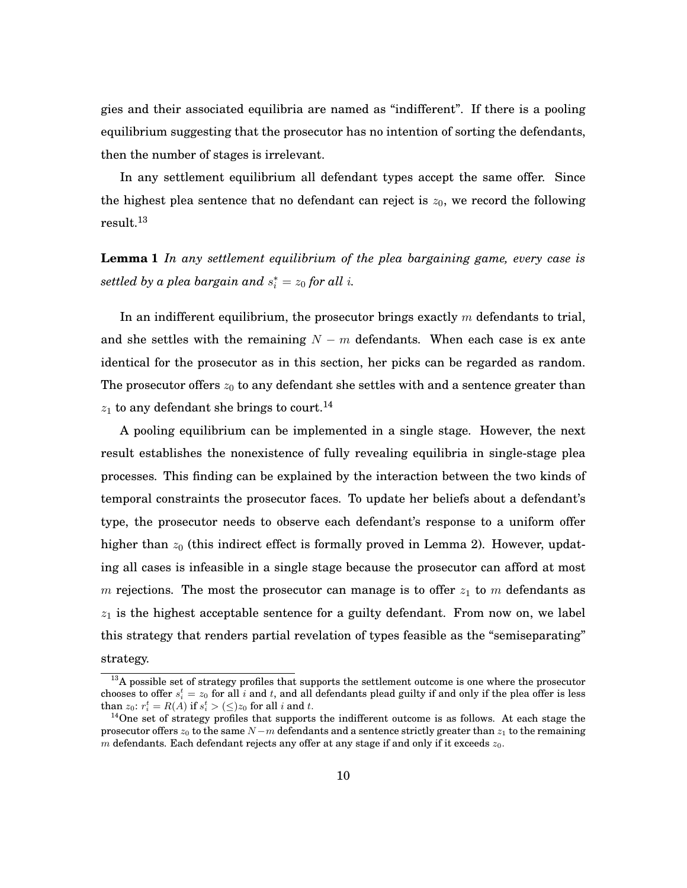gies and their associated equilibria are named as "indifferent". If there is a pooling equilibrium suggesting that the prosecutor has no intention of sorting the defendants, then the number of stages is irrelevant.

In any settlement equilibrium all defendant types accept the same offer. Since the highest plea sentence that no defendant can reject is  $z_0$ , we record the following result.<sup>13</sup>

**Lemma 1** *In any settlement equilibrium of the plea bargaining game, every case is* settled by a plea bargain and  $s_i^* = z_0$  for all  $i$ .

In an indifferent equilibrium, the prosecutor brings exactly  $m$  defendants to trial, and she settles with the remaining  $N - m$  defendants. When each case is ex ante identical for the prosecutor as in this section, her picks can be regarded as random. The prosecutor offers  $z_0$  to any defendant she settles with and a sentence greater than  $z_1$  to any defendant she brings to court.<sup>14</sup>

A pooling equilibrium can be implemented in a single stage. However, the next result establishes the nonexistence of fully revealing equilibria in single-stage plea processes. This finding can be explained by the interaction between the two kinds of temporal constraints the prosecutor faces. To update her beliefs about a defendant's type, the prosecutor needs to observe each defendant's response to a uniform offer higher than  $z_0$  (this indirect effect is formally proved in Lemma 2). However, updating all cases is infeasible in a single stage because the prosecutor can afford at most m rejections. The most the prosecutor can manage is to offer  $z_1$  to m defendants as  $z_1$  is the highest acceptable sentence for a guilty defendant. From now on, we label this strategy that renders partial revelation of types feasible as the "semiseparating" strategy.

<sup>&</sup>lt;sup>13</sup>A possible set of strategy profiles that supports the settlement outcome is one where the prosecutor chooses to offer  $s_i^t = z_0$  for all i and t, and all defendants plead guilty if and only if the plea offer is less than  $z_0$ :  $r_i^t = R(A)$  if  $s_i^t > (\leq) z_0$  for all i and t.

 $14$ One set of strategy profiles that supports the indifferent outcome is as follows. At each stage the prosecutor offers  $z_0$  to the same  $N-m$  defendants and a sentence strictly greater than  $z_1$  to the remaining m defendants. Each defendant rejects any offer at any stage if and only if it exceeds  $z_0$ .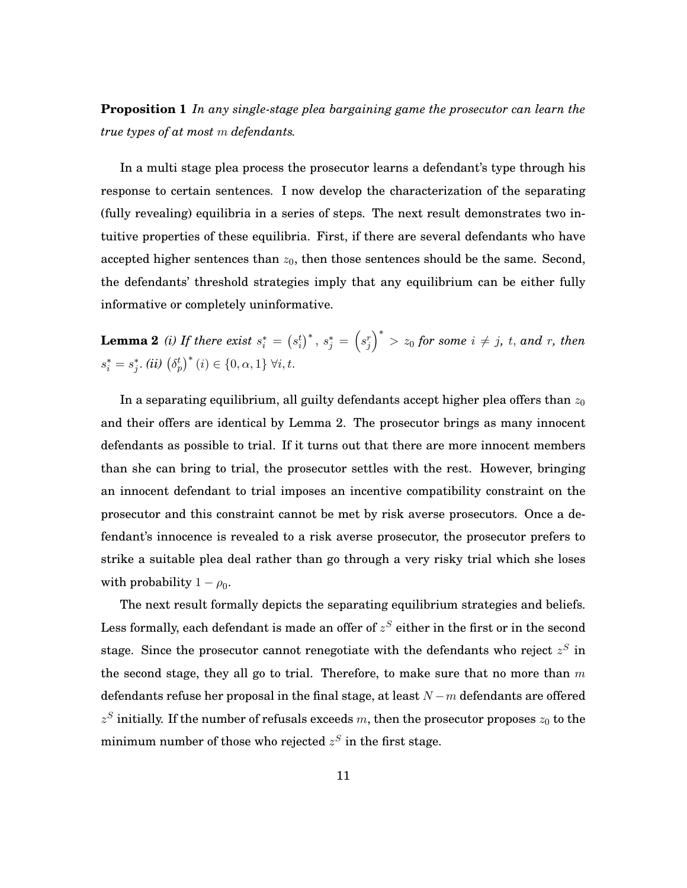**Proposition 1** *In any single-stage plea bargaining game the prosecutor can learn the true types of at most* m *defendants.*

In a multi stage plea process the prosecutor learns a defendant's type through his response to certain sentences. I now develop the characterization of the separating (fully revealing) equilibria in a series of steps. The next result demonstrates two intuitive properties of these equilibria. First, if there are several defendants who have accepted higher sentences than  $z_0$ , then those sentences should be the same. Second, the defendants' threshold strategies imply that any equilibrium can be either fully informative or completely uninformative.

**Lemma 2** *(i) If there exist*  $s_i^* = (s_i^t)^*$ ,  $s_j^* = (s_j^t)^*$  $\left(\begin{array}{c} \end{array}\right)^{*}$   $>$   $z_{0}$  for some  $i\,\neq\,j,\,t,\,and\,$   $r,\,then$  $s_i^* = s_j^*$ . (ii)  $(\delta_p^t)^*$  (i)  $\in \{0, \alpha, 1\}$   $\forall i, t$ .

In a separating equilibrium, all guilty defendants accept higher plea offers than  $z_0$ and their offers are identical by Lemma 2. The prosecutor brings as many innocent defendants as possible to trial. If it turns out that there are more innocent members than she can bring to trial, the prosecutor settles with the rest. However, bringing an innocent defendant to trial imposes an incentive compatibility constraint on the prosecutor and this constraint cannot be met by risk averse prosecutors. Once a defendant's innocence is revealed to a risk averse prosecutor, the prosecutor prefers to strike a suitable plea deal rather than go through a very risky trial which she loses with probability  $1 - \rho_0$ .

The next result formally depicts the separating equilibrium strategies and beliefs. Less formally, each defendant is made an offer of  $z^S$  either in the first or in the second stage. Since the prosecutor cannot renegotiate with the defendants who reject  $z<sup>S</sup>$  in the second stage, they all go to trial. Therefore, to make sure that no more than  $m$ defendants refuse her proposal in the final stage, at least  $N-m$  defendants are offered  $z^S$  initially. If the number of refusals exceeds m, then the prosecutor proposes  $z_0$  to the minimum number of those who rejected  $z^S$  in the first stage.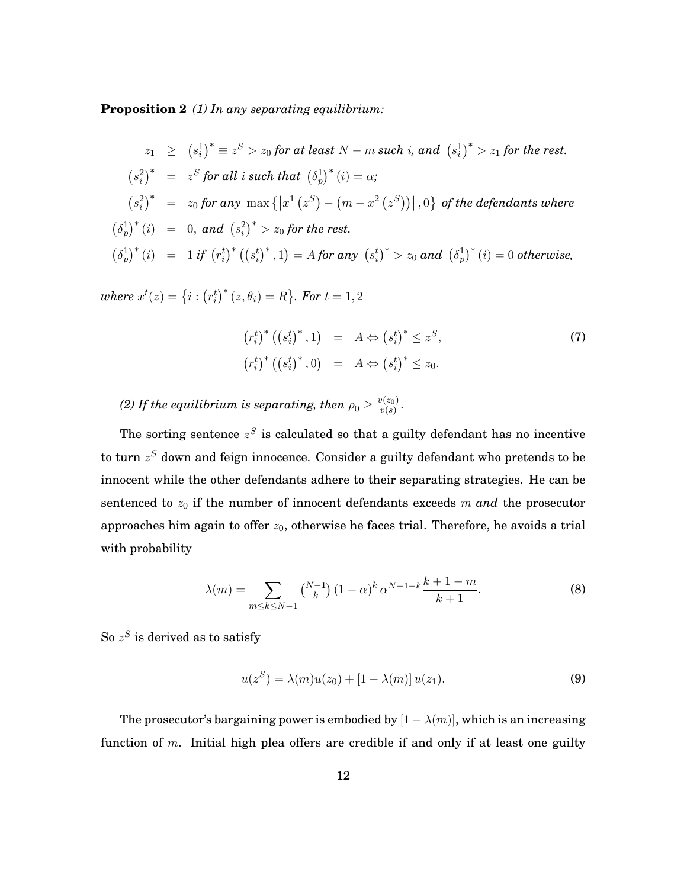**Proposition 2** *(1) In any separating equilibrium:*

$$
z_1 \geq (s_i^1)^* \equiv z^S > z_0 \text{ for at least } N - m \text{ such } i, \text{ and } (s_i^1)^* > z_1 \text{ for the rest.}
$$
\n
$$
(s_i^2)^* = z^S \text{ for all } i \text{ such that } (\delta_p^1)^*(i) = \alpha;
$$
\n
$$
(s_i^2)^* = z_0 \text{ for any } \max\{|x^1(z^S) - (m - x^2(z^S))|, 0\} \text{ of the defendants where}
$$
\n
$$
(\delta_p^1)^*(i) = 0, \text{ and } (s_i^2)^* > z_0 \text{ for the rest.}
$$
\n
$$
(\delta_p^1)^*(i) = 1 \text{ if } (r_i^t)^*((s_i^t)^*, 1) = A \text{ for any } (s_i^t)^* > z_0 \text{ and } (\delta_p^1)^*(i) = 0 \text{ otherwise,}
$$

 $where\; x^t(z)=\left\{i: \left(r_i^t\right)^*(z,\theta_i)=R\right\}$ . For  $t=1,2$ 

$$
(r_i^t)^* ((s_i^t)^*, 1) = A \Leftrightarrow (s_i^t)^* \le z^S,
$$
  
\n $(r_i^t)^* ((s_i^t)^*, 0) = A \Leftrightarrow (s_i^t)^* \le z_0.$  (7)

(2) If the equilibrium is separating, then  $\rho_0 \geq \frac{v(z_0)}{v(\overline{s})}$  $\frac{v(z_0)}{v(\overline{s})}$ .

The sorting sentence  $z^S$  is calculated so that a guilty defendant has no incentive to turn  $z^S$  down and feign innocence. Consider a guilty defendant who pretends to be innocent while the other defendants adhere to their separating strategies. He can be sentenced to  $z_0$  if the number of innocent defendants exceeds  $m$  and the prosecutor approaches him again to offer  $z_0$ , otherwise he faces trial. Therefore, he avoids a trial with probability

$$
\lambda(m) = \sum_{m \le k \le N-1} \binom{N-1}{k} (1-\alpha)^k \alpha^{N-1-k} \frac{k+1-m}{k+1}.
$$
 (8)

So  $z^S$  is derived as to satisfy

$$
u(z^{S}) = \lambda(m)u(z_{0}) + [1 - \lambda(m)]u(z_{1}).
$$
\n(9)

The prosecutor's bargaining power is embodied by  $[1 - \lambda(m)]$ , which is an increasing function of m. Initial high plea offers are credible if and only if at least one guilty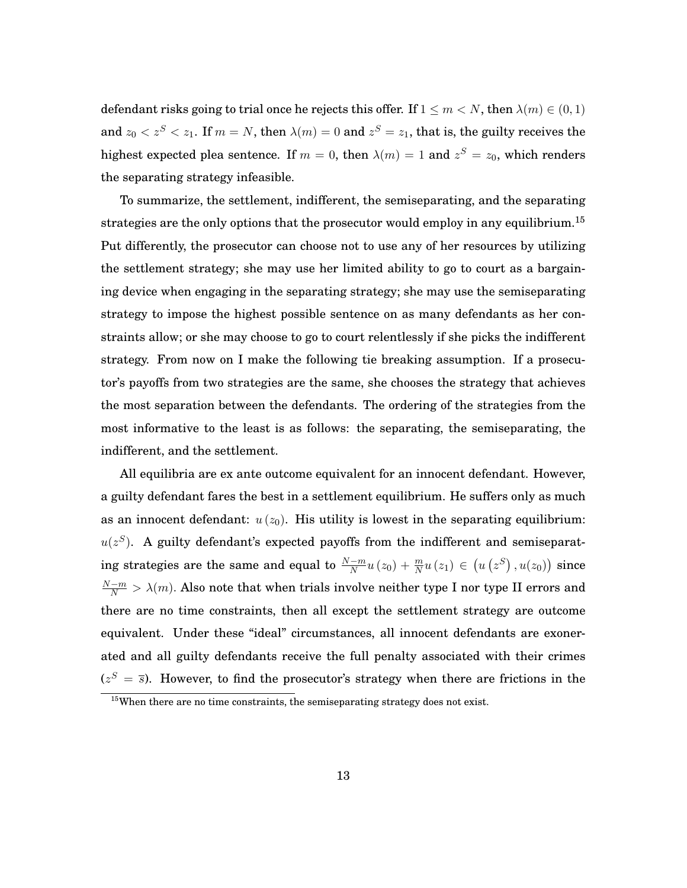defendant risks going to trial once he rejects this offer. If  $1 \le m \le N$ , then  $\lambda(m) \in (0, 1)$ and  $z_0 < z^S < z_1.$  If  $m=N,$  then  $\lambda(m)=0$  and  $z^S=z_1,$  that is, the guilty receives the highest expected plea sentence. If  $m=0,$  then  $\lambda(m)=1$  and  $z^S=z_0,$  which renders the separating strategy infeasible.

To summarize, the settlement, indifferent, the semiseparating, and the separating strategies are the only options that the prosecutor would employ in any equilibrium.<sup>15</sup> Put differently, the prosecutor can choose not to use any of her resources by utilizing the settlement strategy; she may use her limited ability to go to court as a bargaining device when engaging in the separating strategy; she may use the semiseparating strategy to impose the highest possible sentence on as many defendants as her constraints allow; or she may choose to go to court relentlessly if she picks the indifferent strategy. From now on I make the following tie breaking assumption. If a prosecutor's payoffs from two strategies are the same, she chooses the strategy that achieves the most separation between the defendants. The ordering of the strategies from the most informative to the least is as follows: the separating, the semiseparating, the indifferent, and the settlement.

All equilibria are ex ante outcome equivalent for an innocent defendant. However, a guilty defendant fares the best in a settlement equilibrium. He suffers only as much as an innocent defendant:  $u(z_0)$ . His utility is lowest in the separating equilibrium:  $u(z<sup>S</sup>)$ . A guilty defendant's expected payoffs from the indifferent and semiseparating strategies are the same and equal to  $\frac{N-m}{N}u(z_0)+\frac{m}{N}u(z_1)\in (u(z^S),u(z_0))$  since  $\frac{N-m}{N} > \lambda(m)$ . Also note that when trials involve neither type I nor type II errors and there are no time constraints, then all except the settlement strategy are outcome equivalent. Under these "ideal" circumstances, all innocent defendants are exonerated and all guilty defendants receive the full penalty associated with their crimes  $(z<sup>S</sup> = \overline{s})$ . However, to find the prosecutor's strategy when there are frictions in the

<sup>&</sup>lt;sup>15</sup>When there are no time constraints, the semiseparating strategy does not exist.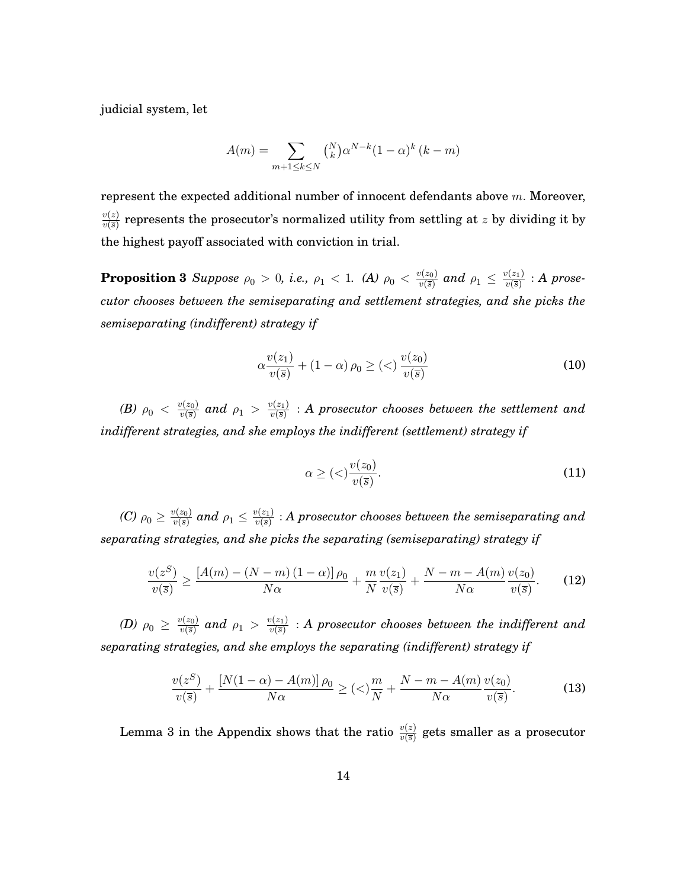judicial system, let

$$
A(m) = \sum_{m+1 \le k \le N} {N \choose k} \alpha^{N-k} (1-\alpha)^k (k-m)
$$

represent the expected additional number of innocent defendants above  $m$ . Moreover,  $v(z)$  $\frac{v(z)}{v(\bar{s})}$  represents the prosecutor's normalized utility from settling at  $z$  by dividing it by the highest payoff associated with conviction in trial.

**Proposition 3** *Suppose*  $\rho_0 > 0$ , i.e.,  $\rho_1 < 1$ . (A)  $\rho_0 < \frac{v(z_0)}{v(\overline{s})}$  $\frac{v(z_0)}{v(\overline{s})}$  and  $\rho_1 \leq \frac{v(z_1)}{v(\overline{s})}$  $\frac{\partial (z_1)}{\partial (\overline{s})}$  : **A** prose*cutor chooses between the semiseparating and settlement strategies, and she picks the semiseparating (indifferent) strategy if*

$$
\alpha \frac{v(z_1)}{v(\overline{s})} + (1 - \alpha) \rho_0 \ge \left( \langle \rangle \right) \frac{v(z_0)}{v(\overline{s})} \tag{10}
$$

*(B)*  $\rho_0 < \frac{v(z_0)}{v(\overline{s})}$  $\frac{v(z_0)}{v(\overline{s})}$  and  $\rho_1$   $>$   $\frac{v(z_1)}{v(\overline{s})}$  $\frac{\psi(z_1)}{\psi(\vec{s})}$  :  $A$  prosecutor chooses between the settlement and *indifferent strategies, and she employs the indifferent (settlement) strategy if*

$$
\alpha \ge \left( \langle \rangle \frac{v(z_0)}{v(\overline{s})} \right). \tag{11}
$$

*(C)*  $\rho_0 \ge \frac{v(z_0)}{v(\overline{s})}$  $\frac{v(z_0)}{v(\overline{s})}$  and  $\rho_1 \leq \frac{v(z_1)}{v(\overline{s})}$  $\frac{\psi(z_1)}{\psi(\overline{s})}$  : A prosecutor chooses between the semiseparating and *separating strategies, and she picks the separating (semiseparating) strategy if*

$$
\frac{v(z^S)}{v(\overline{s})} \ge \frac{\left[A(m) - (N-m)\left(1-\alpha\right)\right]\rho_0}{N\alpha} + \frac{m}{N}\frac{v(z_1)}{v(\overline{s})} + \frac{N-m-A(m)}{N\alpha}\frac{v(z_0)}{v(\overline{s})}.\tag{12}
$$

*(D)*  $\rho_0 \ge \frac{v(z_0)}{v(\overline{s})}$  $\frac{v(z_0)}{v(\overline{s})}$  and  $\rho_1$   $>$   $\frac{v(z_1)}{v(\overline{s})}$  $\frac{\partial \mathcal{L}(z_1)}{\partial \mathcal{L}(\bar{s})}$  : A prosecutor chooses between the indifferent and *separating strategies, and she employs the separating (indifferent) strategy if*

$$
\frac{v(z^{S})}{v(\overline{s})} + \frac{[N(1-\alpha) - A(m)]\,\rho_0}{N\alpha} \ge (\langle)\frac{m}{N} + \frac{N-m - A(m)}{N\alpha} \frac{v(z_0)}{v(\overline{s})}.\tag{13}
$$

Lemma 3 in the Appendix shows that the ratio  $\frac{v(z)}{v(\overline{s})}$  gets smaller as a prosecutor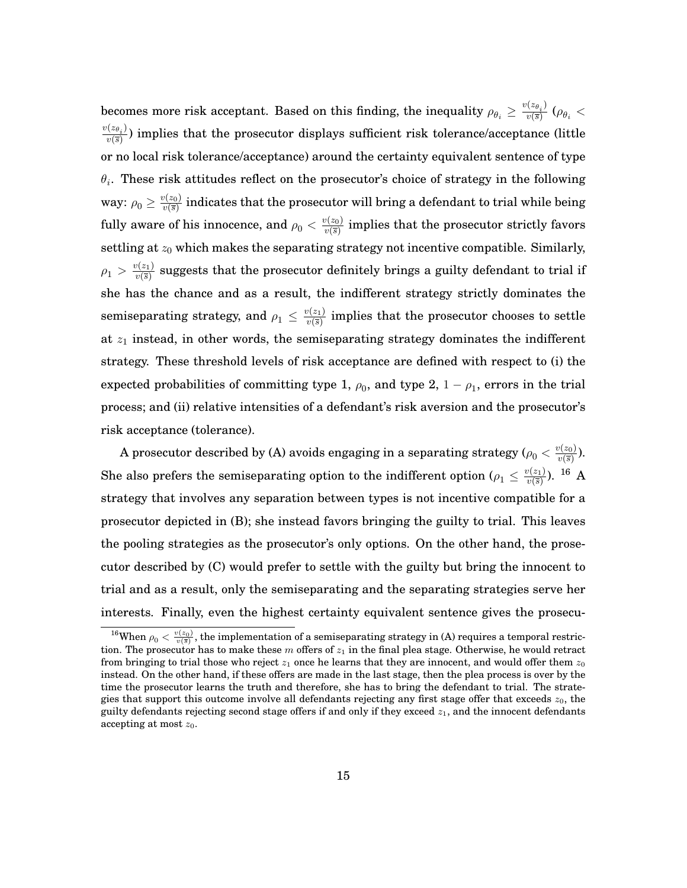becomes more risk acceptant. Based on this finding, the inequality  $\rho_{\theta_i} \geq \frac{v(z_{\theta_i})}{v(\overline{s})}$  $\frac{\sqrt{2\theta_i}j}{\nu(\overline{s})}\left(\rho_{\theta_i}\right)$  $\frac{v(z_{\theta_i})}{\theta}$  $\frac{\partial \langle \partial \theta_i \rangle}{\partial \langle \overline{s} \rangle}$ ) implies that the prosecutor displays sufficient risk tolerance/acceptance (little or no local risk tolerance/acceptance) around the certainty equivalent sentence of type  $\theta_i.$  These risk attitudes reflect on the prosecutor's choice of strategy in the following way:  $\rho_0 \geq \frac{v(z_0)}{v(\overline{s})}$  $\frac{\partial \mathcal{L}(z_0)}{\partial \mathcal{L}(\overline{s})}$  indicates that the prosecutor will bring a defendant to trial while being fully aware of his innocence, and  $\rho_0<\frac{v(z_0)}{v(\overline s)}$  $\frac{\partial \langle z_0 \rangle}{\partial v(\overline{s})}$  implies that the prosecutor strictly favors settling at  $z_0$  which makes the separating strategy not incentive compatible. Similarly,  $\rho_1 > \frac{v(z_1)}{v(\bar{s})}$  $\frac{\partial \mathcal{L}(z_1)}{\partial \mathcal{L}(s)}$  suggests that the prosecutor definitely brings a guilty defendant to trial if she has the chance and as a result, the indifferent strategy strictly dominates the semiseparating strategy, and  $\rho_1 \leq \frac{v(z_1)}{v(\overline{s})}$  $\frac{\partial \langle z_1 \rangle}{\partial \langle \overline{s} \rangle}$  implies that the prosecutor chooses to settle at  $z_1$  instead, in other words, the semiseparating strategy dominates the indifferent strategy. These threshold levels of risk acceptance are defined with respect to (i) the expected probabilities of committing type 1,  $\rho_0$ , and type 2,  $1-\rho_1$ , errors in the trial process; and (ii) relative intensities of a defendant's risk aversion and the prosecutor's risk acceptance (tolerance).

A prosecutor described by (A) avoids engaging in a separating strategy ( $\rho_0 < \frac{v(z_0)}{v(\overline s)}$  $\frac{v(z_0)}{v(\overline{s})}$ ). She also prefers the semiseparating option to the indifferent option  $(\rho_1 \leq \frac{v(z_1)}{v(\overline{s})})$  $\frac{\psi(z_1)}{\psi(\overline{s})}$ ). <sup>16</sup> A strategy that involves any separation between types is not incentive compatible for a prosecutor depicted in (B); she instead favors bringing the guilty to trial. This leaves the pooling strategies as the prosecutor's only options. On the other hand, the prosecutor described by (C) would prefer to settle with the guilty but bring the innocent to trial and as a result, only the semiseparating and the separating strategies serve her interests. Finally, even the highest certainty equivalent sentence gives the prosecu-

<sup>&</sup>lt;sup>16</sup>When  $\rho_0 < \frac{v(z_0)}{v(\bar{s})}$ , the implementation of a semiseparating strategy in (A) requires a temporal restriction. The prosecutor has to make these m offers of  $z_1$  in the final plea stage. Otherwise, he would retract from bringing to trial those who reject  $z_1$  once he learns that they are innocent, and would offer them  $z_0$ instead. On the other hand, if these offers are made in the last stage, then the plea process is over by the time the prosecutor learns the truth and therefore, she has to bring the defendant to trial. The strategies that support this outcome involve all defendants rejecting any first stage offer that exceeds  $z_0$ , the guilty defendants rejecting second stage offers if and only if they exceed  $z_1$ , and the innocent defendants accepting at most  $z_0$ .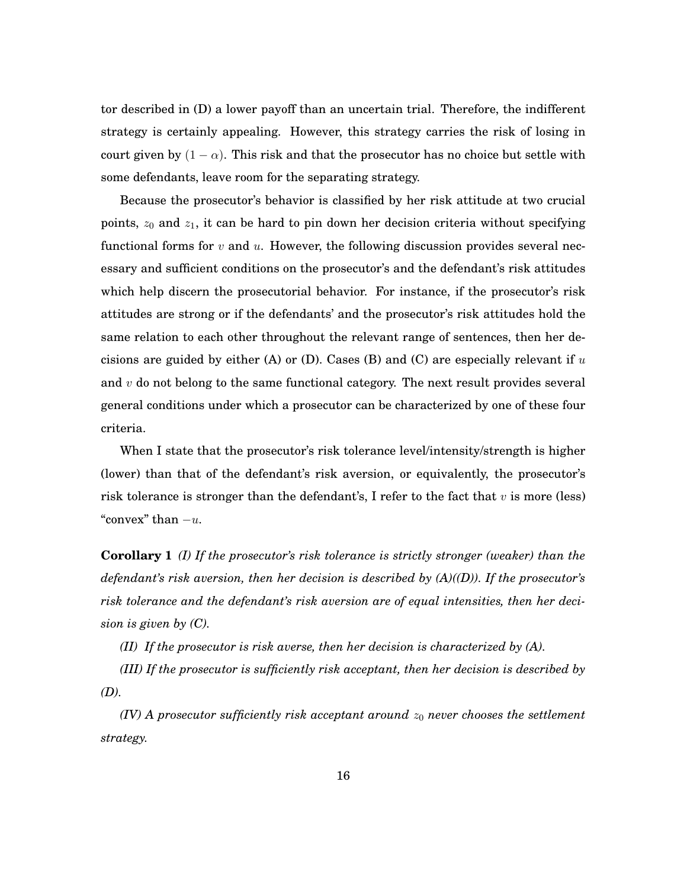tor described in (D) a lower payoff than an uncertain trial. Therefore, the indifferent strategy is certainly appealing. However, this strategy carries the risk of losing in court given by  $(1 - \alpha)$ . This risk and that the prosecutor has no choice but settle with some defendants, leave room for the separating strategy.

Because the prosecutor's behavior is classified by her risk attitude at two crucial points,  $z_0$  and  $z_1$ , it can be hard to pin down her decision criteria without specifying functional forms for  $v$  and  $u$ . However, the following discussion provides several necessary and sufficient conditions on the prosecutor's and the defendant's risk attitudes which help discern the prosecutorial behavior. For instance, if the prosecutor's risk attitudes are strong or if the defendants' and the prosecutor's risk attitudes hold the same relation to each other throughout the relevant range of sentences, then her decisions are guided by either (A) or (D). Cases (B) and (C) are especially relevant if  $u$ and  $v$  do not belong to the same functional category. The next result provides several general conditions under which a prosecutor can be characterized by one of these four criteria.

When I state that the prosecutor's risk tolerance level/intensity/strength is higher (lower) than that of the defendant's risk aversion, or equivalently, the prosecutor's risk tolerance is stronger than the defendant's, I refer to the fact that  $v$  is more (less) "convex" than  $-u$ .

**Corollary 1** *(I) If the prosecutor's risk tolerance is strictly stronger (weaker) than the defendant's risk aversion, then her decision is described by (A)((D)). If the prosecutor's risk tolerance and the defendant's risk aversion are of equal intensities, then her decision is given by (C).*

*(II) If the prosecutor is risk averse, then her decision is characterized by (A).*

*(III) If the prosecutor is sufficiently risk acceptant, then her decision is described by (D).*

*(IV) A prosecutor sufficiently risk acceptant around*  $z_0$  *never chooses the settlement strategy.*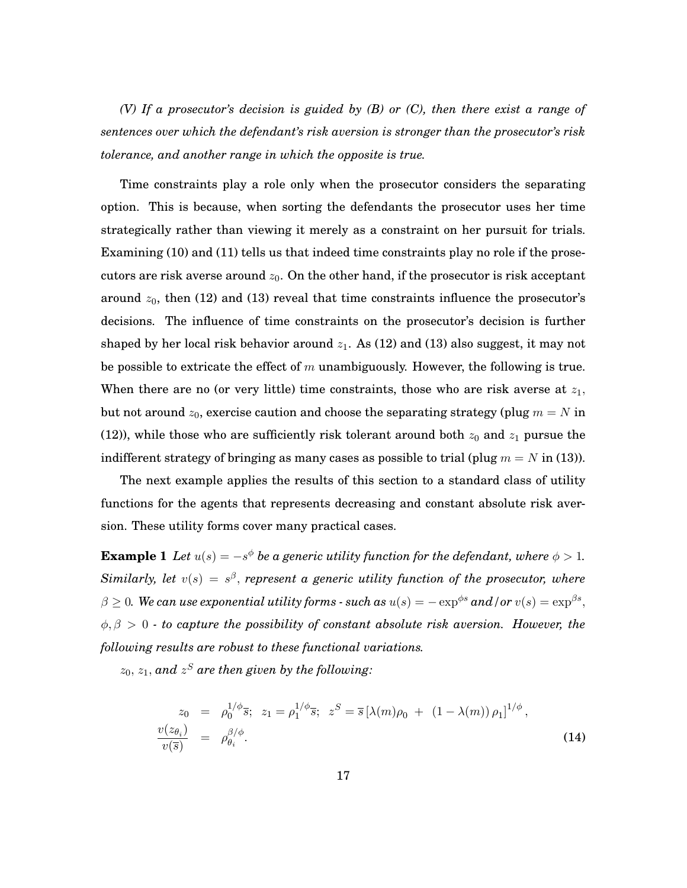*(V) If a prosecutor's decision is guided by (B) or (C), then there exist a range of sentences over which the defendant's risk aversion is stronger than the prosecutor's risk tolerance, and another range in which the opposite is true.*

Time constraints play a role only when the prosecutor considers the separating option. This is because, when sorting the defendants the prosecutor uses her time strategically rather than viewing it merely as a constraint on her pursuit for trials. Examining (10) and (11) tells us that indeed time constraints play no role if the prosecutors are risk averse around  $z_0$ . On the other hand, if the prosecutor is risk acceptant around  $z_0$ , then (12) and (13) reveal that time constraints influence the prosecutor's decisions. The influence of time constraints on the prosecutor's decision is further shaped by her local risk behavior around  $z_1$ . As (12) and (13) also suggest, it may not be possible to extricate the effect of m unambiguously. However, the following is true. When there are no (or very little) time constraints, those who are risk averse at  $z_1$ , but not around  $z_0$ , exercise caution and choose the separating strategy (plug  $m = N$  in (12)), while those who are sufficiently risk tolerant around both  $z_0$  and  $z_1$  pursue the indifferent strategy of bringing as many cases as possible to trial (plug  $m = N$  in (13)).

The next example applies the results of this section to a standard class of utility functions for the agents that represents decreasing and constant absolute risk aversion. These utility forms cover many practical cases.

**Example 1** Let  $u(s) = -s^{\phi}$  be a generic utility function for the defendant, where  $\phi > 1$ .  $Similarly, let v(s) = s^{\beta}, represent a generic utility function of the processor, where$  $\beta \geq 0$ . We can use exponential utility forms - such as  $u(s) = -\exp^{\phi s}$  and / or  $v(s) = \exp^{\beta s},$  $\phi, \beta > 0$  - to capture the possibility of constant absolute risk aversion. However, the *following results are robust to these functional variations.*

 $z_0,\,z_1,\,$  and  $\,z^S$  are then given by the following:

$$
z_0 = \rho_0^{1/\phi} \overline{s}; \ z_1 = \rho_1^{1/\phi} \overline{s}; \ z^S = \overline{s} \left[ \lambda(m)\rho_0 + (1 - \lambda(m)) \rho_1 \right]^{1/\phi},
$$
  

$$
\frac{v(z_{\theta_i})}{v(\overline{s})} = \rho_{\theta_i}^{\beta/\phi}.
$$
 (14)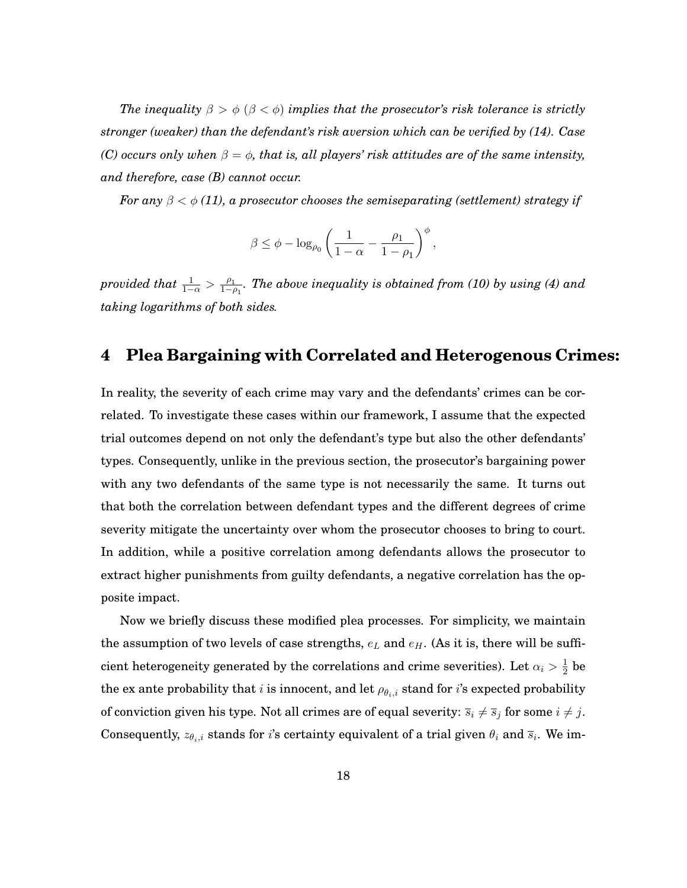The inequality  $\beta > \phi$  ( $\beta < \phi$ ) implies that the prosecutor's risk tolerance is strictly *stronger (weaker) than the defendant's risk aversion which can be verified by (14). Case* (C) occurs only when  $\beta = \phi$ , that is, all players' risk attitudes are of the same intensity, *and therefore, case (B) cannot occur.*

For any  $\beta < \phi$  (11), a prosecutor chooses the semiseparating (settlement) strategy if

$$
\beta \leq \phi - \log_{\rho_0} \left( \frac{1}{1 - \alpha} - \frac{\rho_1}{1 - \rho_1} \right)^{\phi},
$$

provided that  $\frac{1}{1-\alpha} > \frac{\rho_1}{1-\rho}$  $\frac{\rho_1}{1-\rho_1}$ . The above inequality is obtained from (10) by using (4) and *taking logarithms of both sides.*

## **4 Plea Bargaining with Correlated and Heterogenous Crimes:**

In reality, the severity of each crime may vary and the defendants' crimes can be correlated. To investigate these cases within our framework, I assume that the expected trial outcomes depend on not only the defendant's type but also the other defendants' types. Consequently, unlike in the previous section, the prosecutor's bargaining power with any two defendants of the same type is not necessarily the same. It turns out that both the correlation between defendant types and the different degrees of crime severity mitigate the uncertainty over whom the prosecutor chooses to bring to court. In addition, while a positive correlation among defendants allows the prosecutor to extract higher punishments from guilty defendants, a negative correlation has the opposite impact.

Now we briefly discuss these modified plea processes. For simplicity, we maintain the assumption of two levels of case strengths,  $e_L$  and  $e_H$ . (As it is, there will be sufficient heterogeneity generated by the correlations and crime severities). Let  $\alpha_i > \frac{1}{2}$  $rac{1}{2}$  be the ex ante probability that *i* is innocent, and let  $\rho_{\theta_i,i}$  stand for *i*'s expected probability of conviction given his type. Not all crimes are of equal severity:  $\overline{s}_i \neq \overline{s}_j$  for some  $i \neq j$ . Consequently,  $z_{\theta_i,i}$  stands for  $i$ 's certainty equivalent of a trial given  $\theta_i$  and  $\overline{s}_i$ . We im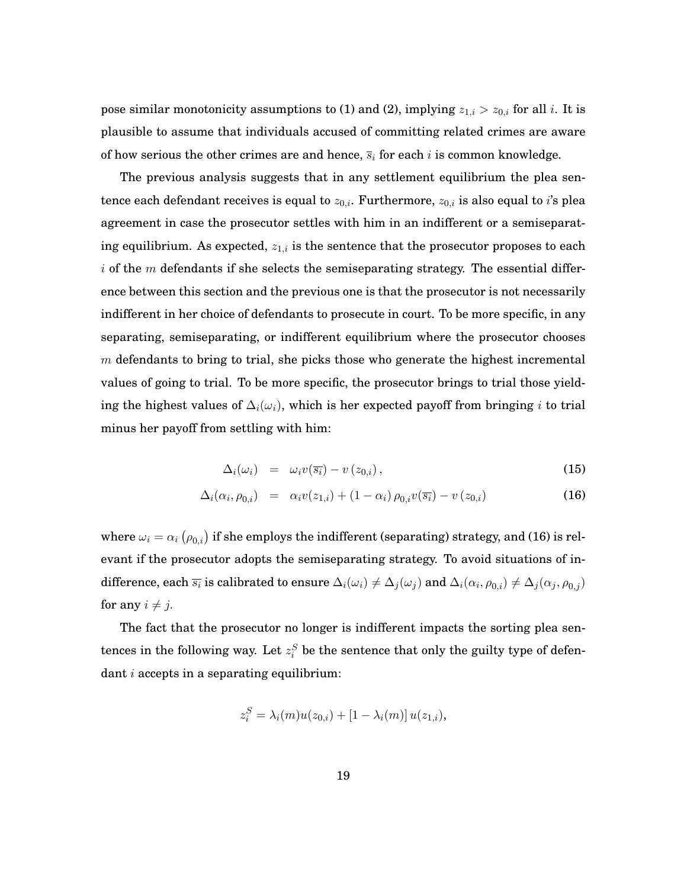pose similar monotonicity assumptions to (1) and (2), implying  $z_{1,i} > z_{0,i}$  for all i. It is plausible to assume that individuals accused of committing related crimes are aware of how serious the other crimes are and hence,  $\overline{s}_i$  for each i is common knowledge.

The previous analysis suggests that in any settlement equilibrium the plea sentence each defendant receives is equal to  $z_{0,i}$ . Furthermore,  $z_{0,i}$  is also equal to *i*'s plea agreement in case the prosecutor settles with him in an indifferent or a semiseparating equilibrium. As expected,  $z_{1,i}$  is the sentence that the prosecutor proposes to each i of the m defendants if she selects the semiseparating strategy. The essential difference between this section and the previous one is that the prosecutor is not necessarily indifferent in her choice of defendants to prosecute in court. To be more specific, in any separating, semiseparating, or indifferent equilibrium where the prosecutor chooses  $m$  defendants to bring to trial, she picks those who generate the highest incremental values of going to trial. To be more specific, the prosecutor brings to trial those yielding the highest values of  $\Delta_i(\omega_i)$ , which is her expected payoff from bringing i to trial minus her payoff from settling with him:

$$
\Delta_i(\omega_i) = \omega_i v(\overline{s_i}) - v(z_{0,i}), \qquad (15)
$$

$$
\Delta_i(\alpha_i, \rho_{0,i}) = \alpha_i v(z_{1,i}) + (1 - \alpha_i) \rho_{0,i} v(\overline{s_i}) - v(z_{0,i}) \tag{16}
$$

where  $\omega_i = \alpha_i\left(\rho_{0,i}\right)$  if she employs the indifferent (separating) strategy, and (16) is relevant if the prosecutor adopts the semiseparating strategy. To avoid situations of indifference, each  $\overline{s_i}$  is calibrated to ensure  $\Delta_i(\omega_i)\neq \Delta_j(\omega_j)$  and  $\Delta_i(\alpha_i,\rho_{0,i})\neq \Delta_j(\alpha_j,\rho_{0,j})$ for any  $i \neq j$ .

The fact that the prosecutor no longer is indifferent impacts the sorting plea sentences in the following way. Let  $z_i^S$  be the sentence that only the guilty type of defendant  $i$  accepts in a separating equilibrium:

$$
z_i^S = \lambda_i(m)u(z_{0,i}) + [1 - \lambda_i(m)]u(z_{1,i}),
$$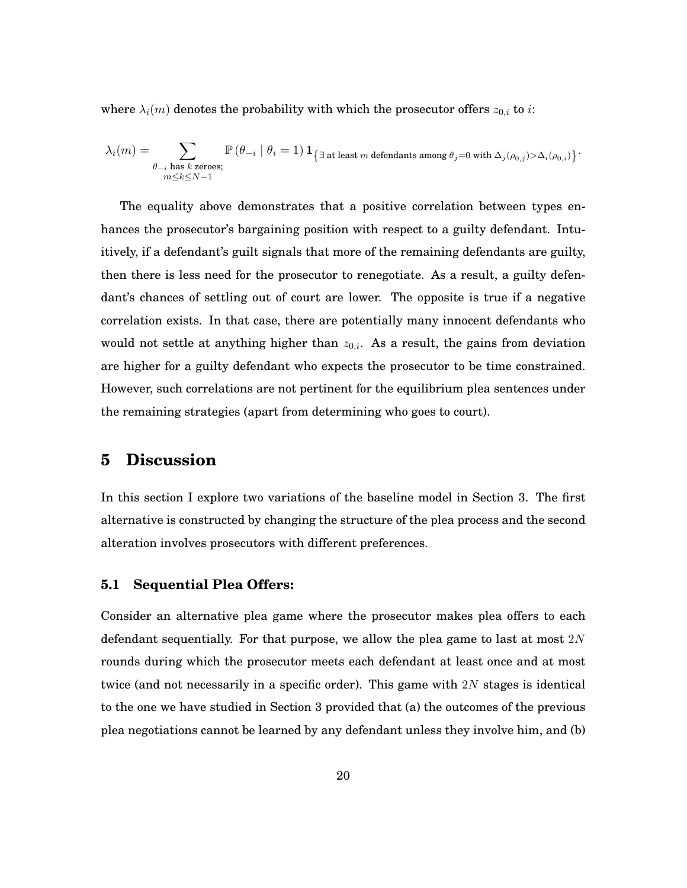where  $\lambda_i(m)$  denotes the probability with which the prosecutor offers  $z_{0,i}$  to i:

$$
\lambda_i(m) = \sum_{\substack{\theta_{-i} \text{ has } k \text{ zeroes}; \\ m \leq k \leq N-1}} \mathbb{P}\left(\theta_{-i} \mid \theta_i = 1\right) \mathbf{1}_{\left\{\exists \text{ at least } m \text{ dependsants among } \theta_j = 0 \text{ with } \Delta_j(\rho_{0,j}) > \Delta_i(\rho_{0,i})\right\}}.
$$

The equality above demonstrates that a positive correlation between types enhances the prosecutor's bargaining position with respect to a guilty defendant. Intuitively, if a defendant's guilt signals that more of the remaining defendants are guilty, then there is less need for the prosecutor to renegotiate. As a result, a guilty defendant's chances of settling out of court are lower. The opposite is true if a negative correlation exists. In that case, there are potentially many innocent defendants who would not settle at anything higher than  $z_{0,i}$ . As a result, the gains from deviation are higher for a guilty defendant who expects the prosecutor to be time constrained. However, such correlations are not pertinent for the equilibrium plea sentences under the remaining strategies (apart from determining who goes to court).

#### **5 Discussion**

In this section I explore two variations of the baseline model in Section 3. The first alternative is constructed by changing the structure of the plea process and the second alteration involves prosecutors with different preferences.

#### **5.1 Sequential Plea Offers:**

Consider an alternative plea game where the prosecutor makes plea offers to each defendant sequentially. For that purpose, we allow the plea game to last at most  $2N$ rounds during which the prosecutor meets each defendant at least once and at most twice (and not necessarily in a specific order). This game with  $2N$  stages is identical to the one we have studied in Section 3 provided that (a) the outcomes of the previous plea negotiations cannot be learned by any defendant unless they involve him, and (b)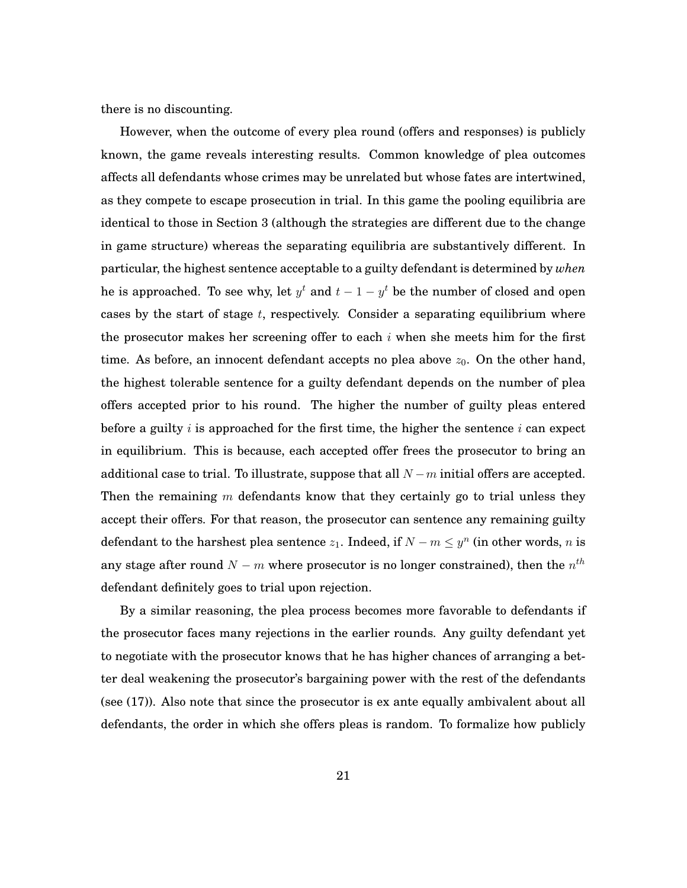there is no discounting.

However, when the outcome of every plea round (offers and responses) is publicly known, the game reveals interesting results. Common knowledge of plea outcomes affects all defendants whose crimes may be unrelated but whose fates are intertwined, as they compete to escape prosecution in trial. In this game the pooling equilibria are identical to those in Section 3 (although the strategies are different due to the change in game structure) whereas the separating equilibria are substantively different. In particular, the highest sentence acceptable to a guilty defendant is determined by *when* he is approached. To see why, let  $y^t$  and  $t-1-y^t$  be the number of closed and open cases by the start of stage  $t$ , respectively. Consider a separating equilibrium where the prosecutor makes her screening offer to each  $i$  when she meets him for the first time. As before, an innocent defendant accepts no plea above  $z_0$ . On the other hand, the highest tolerable sentence for a guilty defendant depends on the number of plea offers accepted prior to his round. The higher the number of guilty pleas entered before a guilty i is approached for the first time, the higher the sentence i can expect in equilibrium. This is because, each accepted offer frees the prosecutor to bring an additional case to trial. To illustrate, suppose that all  $N-m$  initial offers are accepted. Then the remaining m defendants know that they certainly go to trial unless they accept their offers. For that reason, the prosecutor can sentence any remaining guilty defendant to the harshest plea sentence  $z_1$ . Indeed, if  $N - m \leq y^n$  (in other words, n is any stage after round  $N - m$  where prosecutor is no longer constrained), then the  $n^{th}$ defendant definitely goes to trial upon rejection.

By a similar reasoning, the plea process becomes more favorable to defendants if the prosecutor faces many rejections in the earlier rounds. Any guilty defendant yet to negotiate with the prosecutor knows that he has higher chances of arranging a better deal weakening the prosecutor's bargaining power with the rest of the defendants (see (17)). Also note that since the prosecutor is ex ante equally ambivalent about all defendants, the order in which she offers pleas is random. To formalize how publicly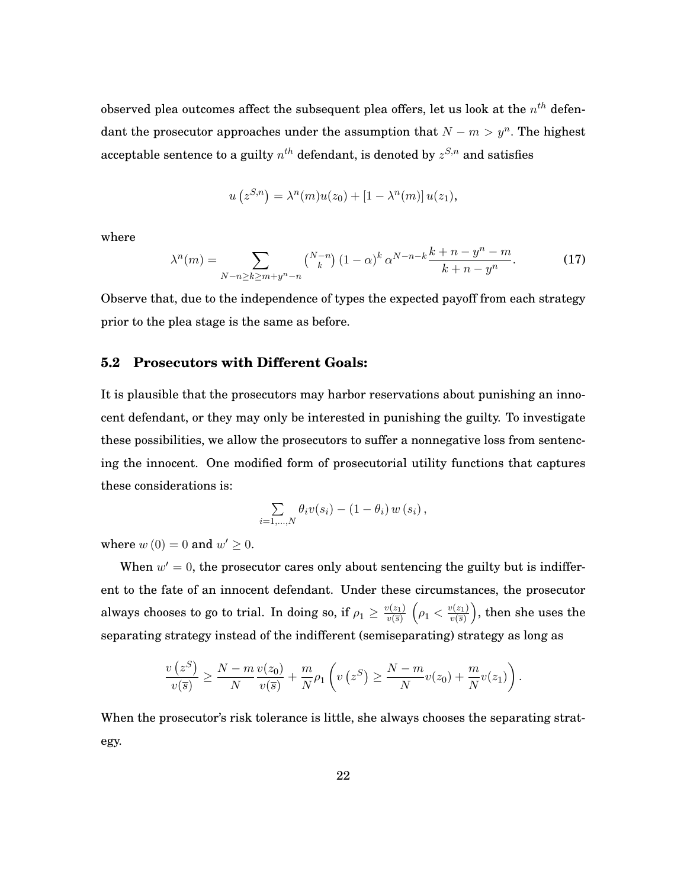observed plea outcomes affect the subsequent plea offers, let us look at the  $n^{th}$  defendant the prosecutor approaches under the assumption that  $N - m > y^n$ . The highest acceptable sentence to a guilty  $n^{th}$  defendant, is denoted by  $z^{S,n}$  and satisfies

$$
u(z^{S,n}) = \lambda^{n}(m)u(z_{0}) + [1 - \lambda^{n}(m)]u(z_{1}),
$$

where

$$
\lambda^{n}(m) = \sum_{N-n \ge k \ge m+y^{n}-n} {N-n \choose k} (1-\alpha)^{k} \alpha^{N-n-k} \frac{k+n-y^{n}-m}{k+n-y^{n}}.
$$
 (17)

Observe that, due to the independence of types the expected payoff from each strategy prior to the plea stage is the same as before.

#### **5.2 Prosecutors with Different Goals:**

It is plausible that the prosecutors may harbor reservations about punishing an innocent defendant, or they may only be interested in punishing the guilty. To investigate these possibilities, we allow the prosecutors to suffer a nonnegative loss from sentencing the innocent. One modified form of prosecutorial utility functions that captures these considerations is:

$$
\sum_{i=1,\ldots,N} \theta_i v(s_i) - (1-\theta_i) w(s_i),
$$

where  $w(0) = 0$  and  $w' \geq 0$ .

When  $w'=0$ , the prosecutor cares only about sentencing the guilty but is indifferent to the fate of an innocent defendant. Under these circumstances, the prosecutor always chooses to go to trial. In doing so, if  $\rho_1 \geq \frac{v(z_1)}{v(\overline{s})}$  $v(\overline{s})$  $\left(\rho_1 < \frac{v(z_1)}{v(\overline{s})}\right)$  $v(\overline{s})$  , then she uses the separating strategy instead of the indifferent (semiseparating) strategy as long as

$$
\frac{v(z^S)}{v(\overline{z})} \geq \frac{N-m}{N} \frac{v(z_0)}{v(\overline{z})} + \frac{m}{N} \rho_1\left(v(z^S) \geq \frac{N-m}{N} v(z_0) + \frac{m}{N} v(z_1)\right).
$$

When the prosecutor's risk tolerance is little, she always chooses the separating strategy.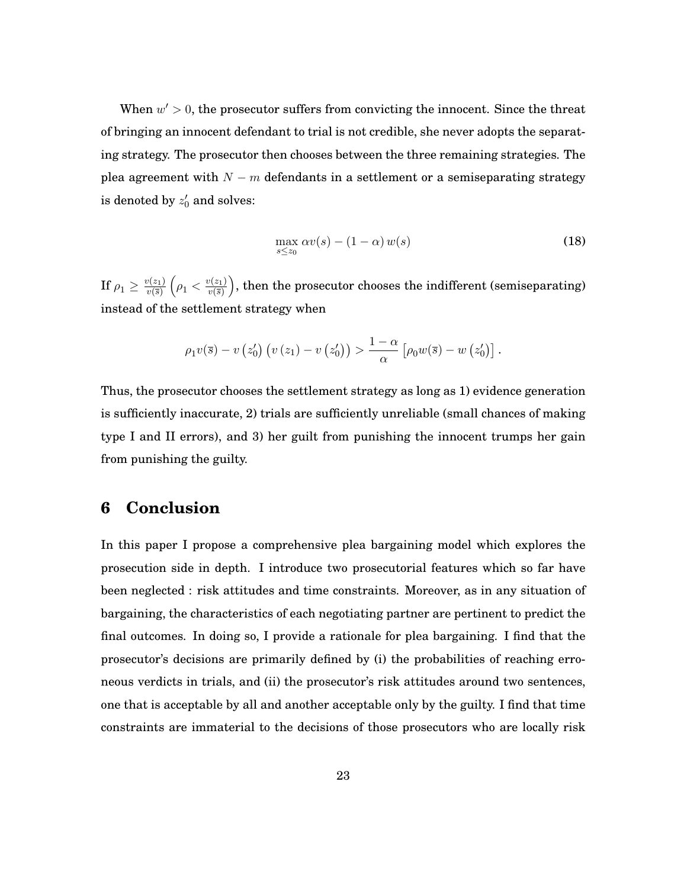When  $w' > 0$ , the prosecutor suffers from convicting the innocent. Since the threat of bringing an innocent defendant to trial is not credible, she never adopts the separating strategy. The prosecutor then chooses between the three remaining strategies. The plea agreement with  $N - m$  defendants in a settlement or a semiseparating strategy is denoted by  $z^\prime_0$  and solves:

$$
\max_{s \le z_0} \alpha v(s) - (1 - \alpha) w(s) \tag{18}
$$

If  $\rho_1 \geq \frac{v(z_1)}{v(\overline{s})}$  $v(\overline{s})$  $\left(\rho_1 \langle \frac{v(z_1)}{v(\overline{s})}\right)$  $v(\overline{s})$  , then the prosecutor chooses the indifferent (semiseparating) instead of the settlement strategy when

$$
\rho_1 v(\overline{s}) - v(z'_0) \left( v(z_1) - v(z'_0) \right) > \frac{1-\alpha}{\alpha} \left[ \rho_0 w(\overline{s}) - w(z'_0) \right].
$$

Thus, the prosecutor chooses the settlement strategy as long as 1) evidence generation is sufficiently inaccurate, 2) trials are sufficiently unreliable (small chances of making type I and II errors), and 3) her guilt from punishing the innocent trumps her gain from punishing the guilty.

### **6 Conclusion**

In this paper I propose a comprehensive plea bargaining model which explores the prosecution side in depth. I introduce two prosecutorial features which so far have been neglected : risk attitudes and time constraints. Moreover, as in any situation of bargaining, the characteristics of each negotiating partner are pertinent to predict the final outcomes. In doing so, I provide a rationale for plea bargaining. I find that the prosecutor's decisions are primarily defined by (i) the probabilities of reaching erroneous verdicts in trials, and (ii) the prosecutor's risk attitudes around two sentences, one that is acceptable by all and another acceptable only by the guilty. I find that time constraints are immaterial to the decisions of those prosecutors who are locally risk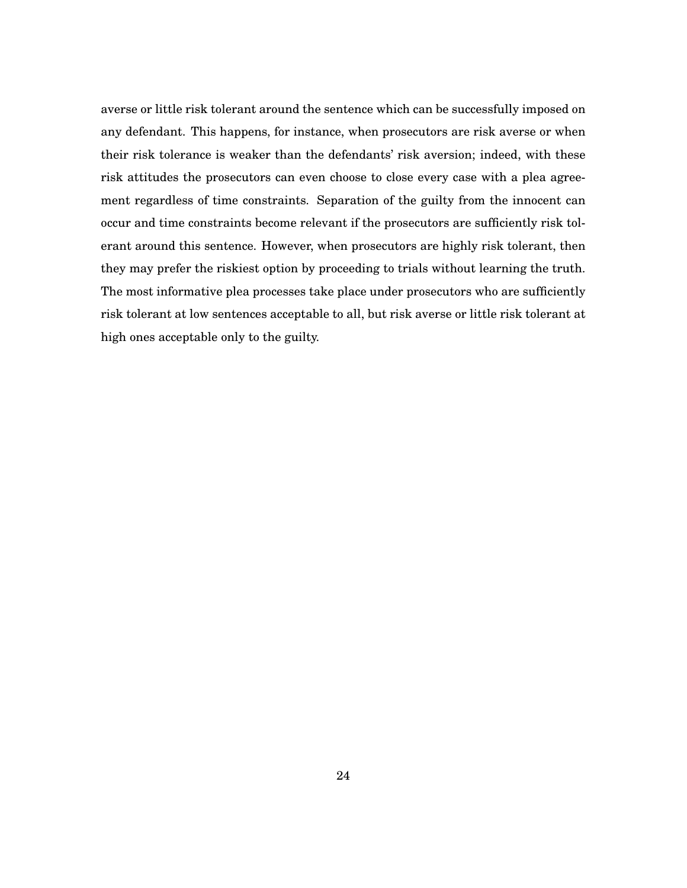averse or little risk tolerant around the sentence which can be successfully imposed on any defendant. This happens, for instance, when prosecutors are risk averse or when their risk tolerance is weaker than the defendants' risk aversion; indeed, with these risk attitudes the prosecutors can even choose to close every case with a plea agreement regardless of time constraints. Separation of the guilty from the innocent can occur and time constraints become relevant if the prosecutors are sufficiently risk tolerant around this sentence. However, when prosecutors are highly risk tolerant, then they may prefer the riskiest option by proceeding to trials without learning the truth. The most informative plea processes take place under prosecutors who are sufficiently risk tolerant at low sentences acceptable to all, but risk averse or little risk tolerant at high ones acceptable only to the guilty.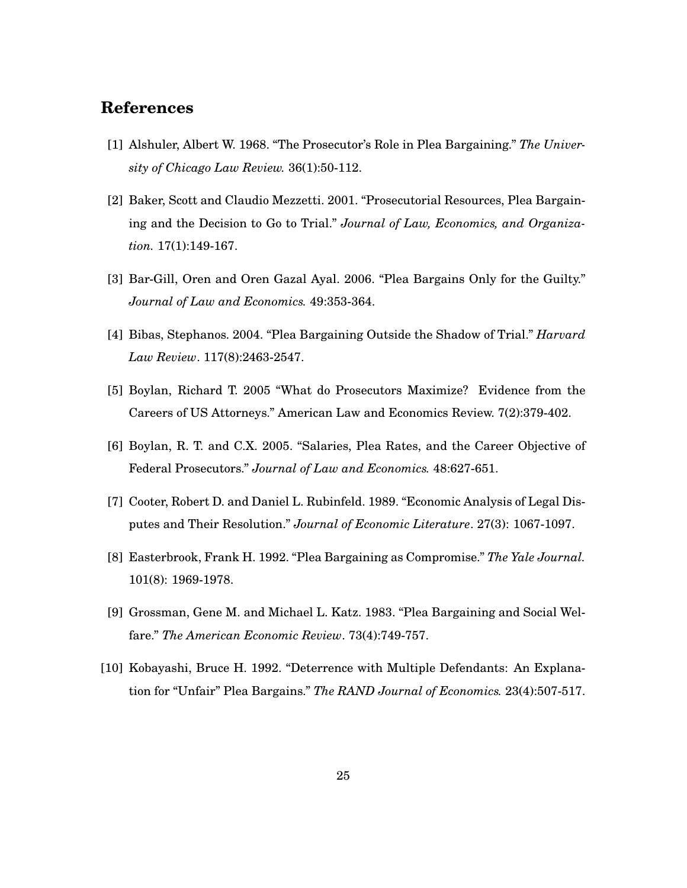## **References**

- [1] Alshuler, Albert W. 1968. "The Prosecutor's Role in Plea Bargaining." *The University of Chicago Law Review.* 36(1):50-112.
- [2] Baker, Scott and Claudio Mezzetti. 2001. "Prosecutorial Resources, Plea Bargaining and the Decision to Go to Trial." *Journal of Law, Economics, and Organization.* 17(1):149-167.
- [3] Bar-Gill, Oren and Oren Gazal Ayal. 2006. "Plea Bargains Only for the Guilty." *Journal of Law and Economics.* 49:353-364.
- [4] Bibas, Stephanos. 2004. "Plea Bargaining Outside the Shadow of Trial." *Harvard Law Review*. 117(8):2463-2547.
- [5] Boylan, Richard T. 2005 "What do Prosecutors Maximize? Evidence from the Careers of US Attorneys." American Law and Economics Review. 7(2):379-402.
- [6] Boylan, R. T. and C.X. 2005. "Salaries, Plea Rates, and the Career Objective of Federal Prosecutors." *Journal of Law and Economics.* 48:627-651.
- [7] Cooter, Robert D. and Daniel L. Rubinfeld. 1989. "Economic Analysis of Legal Disputes and Their Resolution." *Journal of Economic Literature*. 27(3): 1067-1097.
- [8] Easterbrook, Frank H. 1992. "Plea Bargaining as Compromise." *The Yale Journal.* 101(8): 1969-1978.
- [9] Grossman, Gene M. and Michael L. Katz. 1983. "Plea Bargaining and Social Welfare." *The American Economic Review*. 73(4):749-757.
- [10] Kobayashi, Bruce H. 1992. "Deterrence with Multiple Defendants: An Explanation for "Unfair" Plea Bargains." *The RAND Journal of Economics.* 23(4):507-517.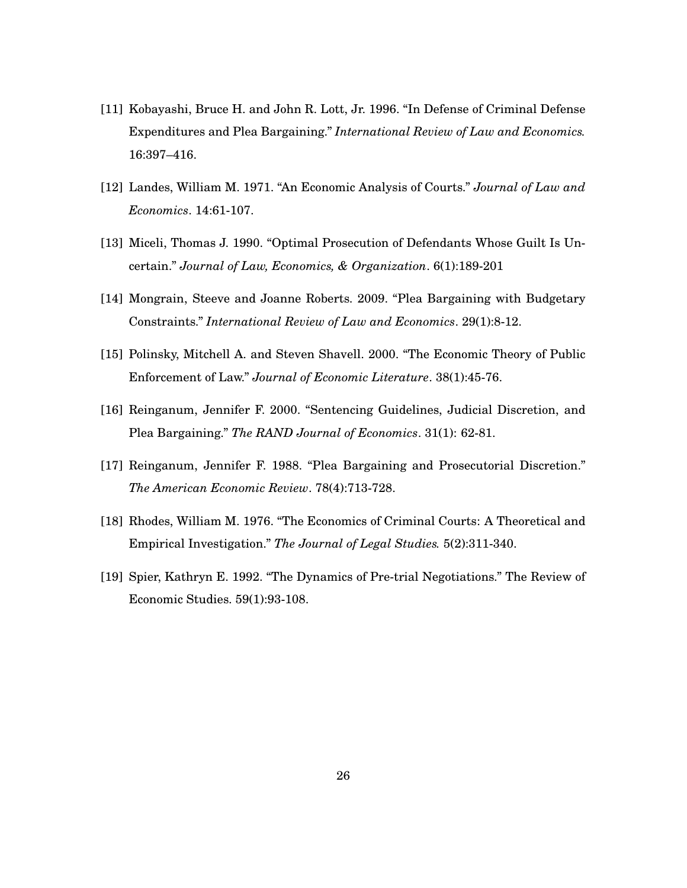- [11] Kobayashi, Bruce H. and John R. Lott, Jr. 1996. "In Defense of Criminal Defense Expenditures and Plea Bargaining." *International Review of Law and Economics.* 16:397–416.
- [12] Landes, William M. 1971. "An Economic Analysis of Courts." *Journal of Law and Economics*. 14:61-107.
- [13] Miceli, Thomas J. 1990. "Optimal Prosecution of Defendants Whose Guilt Is Uncertain." *Journal of Law, Economics, & Organization*. 6(1):189-201
- [14] Mongrain, Steeve and Joanne Roberts. 2009. "Plea Bargaining with Budgetary Constraints." *International Review of Law and Economics*. 29(1):8-12.
- [15] Polinsky, Mitchell A. and Steven Shavell. 2000. "The Economic Theory of Public Enforcement of Law." *Journal of Economic Literature*. 38(1):45-76.
- [16] Reinganum, Jennifer F. 2000. "Sentencing Guidelines, Judicial Discretion, and Plea Bargaining." *The RAND Journal of Economics*. 31(1): 62-81.
- [17] Reinganum, Jennifer F. 1988. "Plea Bargaining and Prosecutorial Discretion." *The American Economic Review*. 78(4):713-728.
- [18] Rhodes, William M. 1976. "The Economics of Criminal Courts: A Theoretical and Empirical Investigation." *The Journal of Legal Studies.* 5(2):311-340.
- [19] Spier, Kathryn E. 1992. "The Dynamics of Pre-trial Negotiations." The Review of Economic Studies. 59(1):93-108.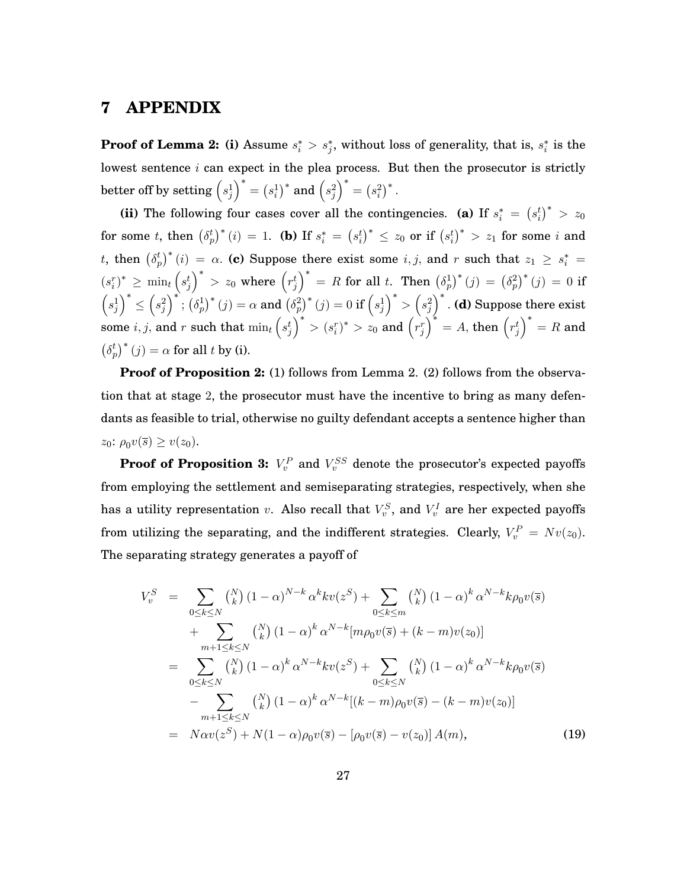#### **7 APPENDIX**

**Proof of Lemma 2:** (i) Assume  $s_i^* > s_j^*$ , without loss of generality, that is,  $s_i^*$  is the lowest sentence  $i$  can expect in the plea process. But then the prosecutor is strictly better off by setting  $\left(s^1_j\right)$  $\Big)^{*}=\left(s_{i}^{1}\right)^{*}$  and  $\Big(s_{j}^{2}\Big)$  $\big)^{*} = (s_i^2)^{*}.$ 

(ii) The following four cases cover all the contingencies. **(a)** If  $s_i^* = (s_i^t)^* > z_0$ for some t, then  $\left(\delta_p^t\right)^*(i) = 1$ . (b) If  $s_i^* = \left(s_i^t\right)^* \leq z_0$  or if  $\left(s_i^t\right)^* > z_1$  for some  $i$  and t, then  $(\delta_p^t)^*(i) = \alpha$ . (c) Suppose there exist some i, j, and r such that  $z_1 \geq s_i^* =$  $(s_i^r)^* \geq \min_t \left(s_j^t\right)$  $\Big)^*$  > z<sub>0</sub> where  $\Big(r_j^t\Big)$  $\int_0^* = R$  for all t. Then  $(\delta_p^1)^*(j) = (\delta_p^2)^*(j) = 0$  if  $\left(s_j^1\right)$  $\setminus^*$  $\leq$  $\left(s_j^2\right)$  $\int^*; \left(\delta_p^1\right)^* (j) = \alpha \text{ and } \left(\delta_p^2\right)^* (j) = 0 \text{ if } \left(s_j^1\right)^*$  $\bigg)^* > \bigg(s_j^2\bigg)$  : **(d)** Suppose there exist some  $i, j$ , and r such that  $\min_t \left( s_j^t \right)$  $\Big)^{*} > (s_{i}^{r})^{*} > z_{0} \text{ and } (r_{j}^{r})$  $\Big)^{\ast} = A, \, {\rm then} \, \left( r_j^t \right)$  $\big)^* = R$  and  $(\delta_p^t)^*(j) = \alpha$  for all t by (i).

**Proof of Proposition 2:** (1) follows from Lemma 2. (2) follows from the observation that at stage 2, the prosecutor must have the incentive to bring as many defendants as feasible to trial, otherwise no guilty defendant accepts a sentence higher than  $z_0$ :  $\rho_0 v(\overline{s}) \geq v(z_0)$ .

**Proof of Proposition 3:**  $V_v^P$  and  $V_v^{SS}$  denote the prosecutor's expected payoffs from employing the settlement and semiseparating strategies, respectively, when she has a utility representation  $v$ . Also recall that  $V_v^S$ , and  $V_v^I$  are her expected payoffs from utilizing the separating, and the indifferent strategies. Clearly,  $V_v^P = Nv(z_0)$ . The separating strategy generates a payoff of

$$
V_v^S = \sum_{0 \le k \le N} {N \choose k} (1 - \alpha)^{N-k} \alpha^k k v(z^S) + \sum_{0 \le k \le m} {N \choose k} (1 - \alpha)^k \alpha^{N-k} k \rho_0 v(\bar{s}) + \sum_{m+1 \le k \le N} {N \choose k} (1 - \alpha)^k \alpha^{N-k} [m \rho_0 v(\bar{s}) + (k - m) v(z_0)] = \sum_{0 \le k \le N} {N \choose k} (1 - \alpha)^k \alpha^{N-k} k v(z^S) + \sum_{0 \le k \le N} {N \choose k} (1 - \alpha)^k \alpha^{N-k} k \rho_0 v(\bar{s}) - \sum_{m+1 \le k \le N} {N \choose k} (1 - \alpha)^k \alpha^{N-k} [(k - m) \rho_0 v(\bar{s}) - (k - m) v(z_0)] = N \alpha v(z^S) + N(1 - \alpha) \rho_0 v(\bar{s}) - [\rho_0 v(\bar{s}) - v(z_0)] A(m), \qquad (19)
$$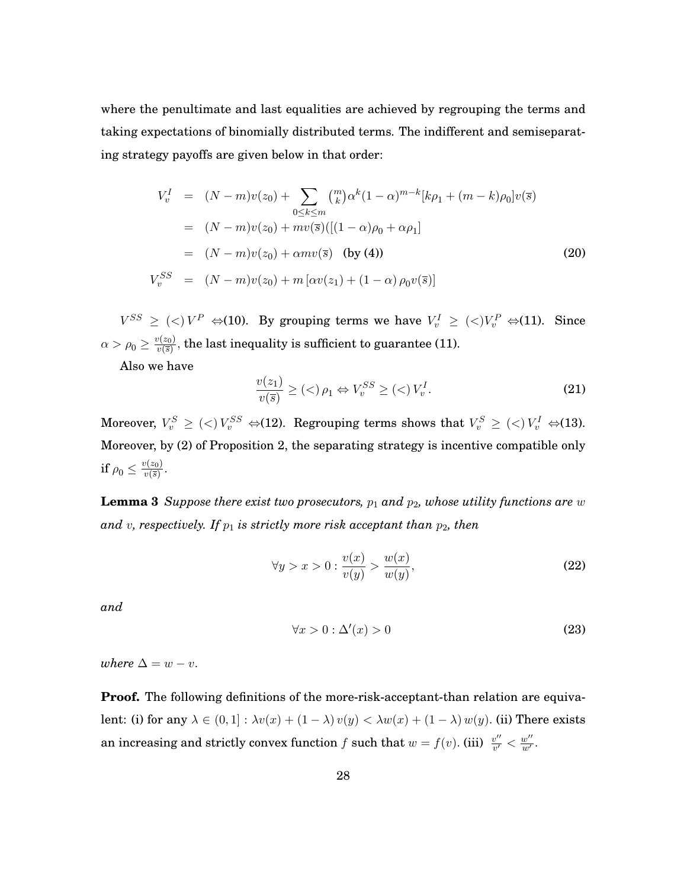where the penultimate and last equalities are achieved by regrouping the terms and taking expectations of binomially distributed terms. The indifferent and semiseparating strategy payoffs are given below in that order:

$$
V_v^I = (N - m)v(z_0) + \sum_{0 \le k \le m} {m \choose k} \alpha^k (1 - \alpha)^{m-k} [k\rho_1 + (m - k)\rho_0] v(\bar{s})
$$
  
\n
$$
= (N - m)v(z_0) + mv(\bar{s}) ([(1 - \alpha)\rho_0 + \alpha \rho_1]
$$
  
\n
$$
= (N - m)v(z_0) + \alpha mv(\bar{s}) \text{ (by (4))}
$$
  
\n
$$
V_v^{SS} = (N - m)v(z_0) + m [\alpha v(z_1) + (1 - \alpha) \rho_0 v(\bar{s})]
$$
\n(20)

 $V^{SS} \geq \langle \langle \rangle V^P \Leftrightarrow 110$ . By grouping terms we have  $V_v^I \geq \langle \langle \rangle V_v^P \Leftrightarrow 111$ . Since  $\alpha > \rho_0 \geq \frac{v(z_0)}{v(\overline{s})}$  $\frac{\partial \langle z_0 \rangle}{\partial v(\bar{s})}$ , the last inequality is sufficient to guarantee (11).

Also we have

$$
\frac{v(z_1)}{v(\overline{s})} \ge (\langle) \rho_1 \Leftrightarrow V_v^{SS} \ge (\langle) V_v^I. \tag{21}
$$

Moreover,  $V_v^S \geq \langle \langle \rangle V_v^{SS} \Leftrightarrow$  (12). Regrouping terms shows that  $V_v^S \geq \langle \langle \rangle V_v^I \Leftrightarrow$  (13). Moreover, by (2) of Proposition 2, the separating strategy is incentive compatible only if  $\rho_0 \leq \frac{v(z_0)}{v(\overline{s})}$  $\frac{v(z_0)}{v(\overline{s})}$ .

**Lemma 3** *Suppose there exist two prosecutors,*  $p_1$  *and*  $p_2$ *, whose utility functions are* w and v, respectively. If  $p_1$  is strictly more risk acceptant than  $p_2$ , then

$$
\forall y > x > 0 : \frac{v(x)}{v(y)} > \frac{w(x)}{w(y)},\tag{22}
$$

*and*

$$
\forall x > 0 : \Delta'(x) > 0 \tag{23}
$$

*where*  $\Delta = w - v$ .

**Proof.** The following definitions of the more-risk-acceptant-than relation are equivalent: (i) for any  $\lambda \in (0,1] : \lambda v(x) + (1-\lambda) v(y) < \lambda w(x) + (1-\lambda) w(y)$ . (ii) There exists an increasing and strictly convex function  $f$  such that  $w = f(v)$ . (iii)  $\frac{v''}{v'} < \frac{w''}{w'}$ .